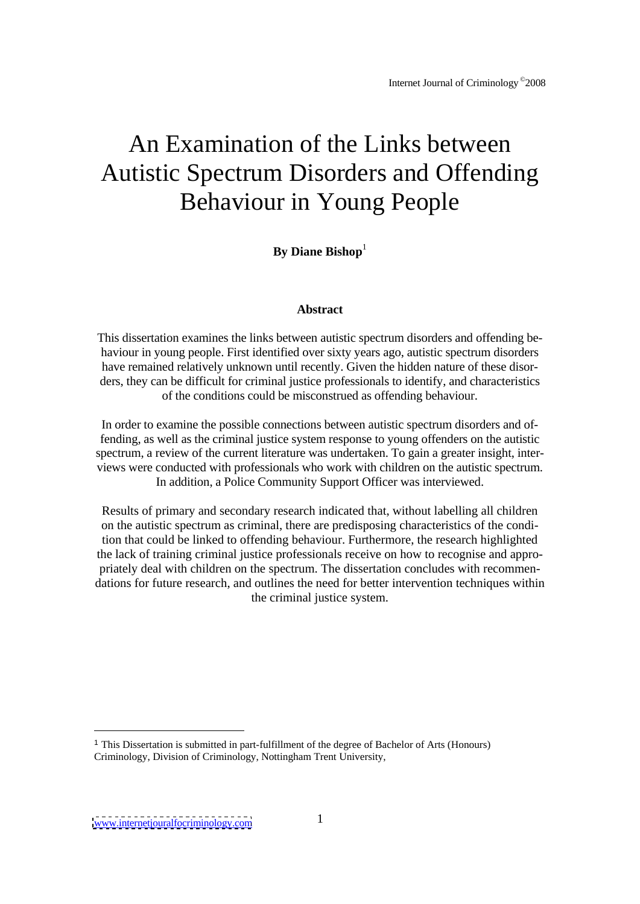# An Examination of the Links between Autistic Spectrum Disorders and Offending Behaviour in Young People

**By Diane Bishop** 1

## **Abstract**

This dissertation examines the links between autistic spectrum disorders and offending be haviour in young people. First identified over sixty years ago, autistic spectrum disorders have remained relatively unknown until recently. Given the hidden nature of these disor ders, they can be difficult for criminal justice professionals to identify, and characteristics of the conditions could be misconstrued as offending behaviour.

In order to examine the possible connections between autistic spectrum disorders and offending, as well as the criminal justice system response to young offenders on the autistic spectrum, a review of the current literature was undertaken. To gain a greater insight, inter views were conducted with professionals who work with children on the autistic spectrum. In addition, a Police Community Support Officer was interviewed.

Results of primary and secondary research indicated that, without labelling all children on the autistic spectrum as criminal, there are predisposing characteristics of the condition that could be linked to offending behaviour. Furthermore, the research highlighted the lack of training criminal justice professionals receive on how to recognise and appro priately deal with children on the spectrum. The dissertation concludes with recommen dations for future research, and outlines the need for better intervention techniques within the criminal justice system.

<sup>1</sup> This Dissertation is submitted in part-fulfillment of the degree of Bachelor of Arts (Honours) Criminology, Division of Criminology, Nottingham Trent University,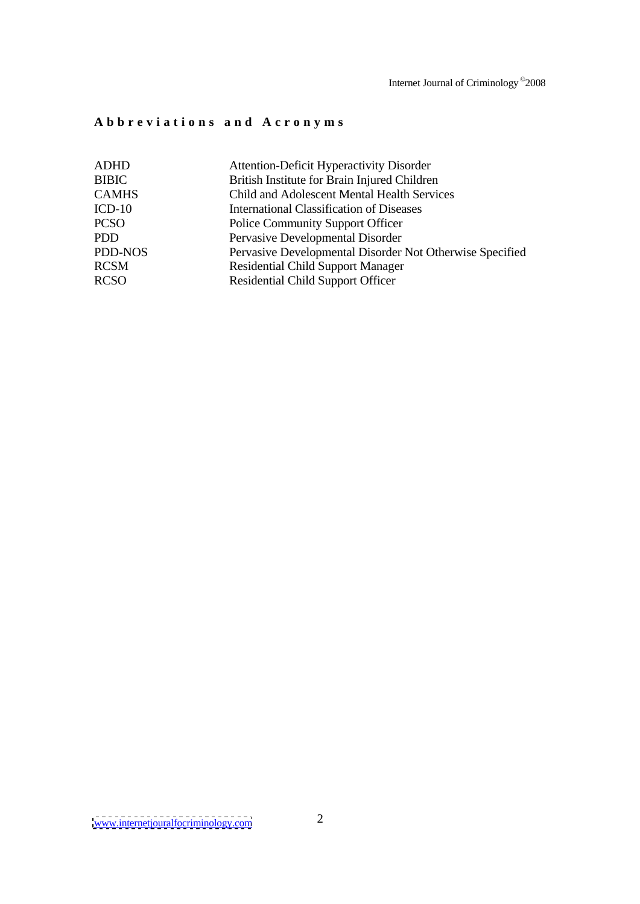Internet Journal of Criminology © 2008

# **A b b r e v i a t i o n s a n d A c r o n y m s**

| ADHD         | <b>Attention-Deficit Hyperactivity Disorder</b>          |
|--------------|----------------------------------------------------------|
| <b>BIBIC</b> | British Institute for Brain Injured Children             |
| <b>CAMHS</b> | Child and Adolescent Mental Health Services              |
| $ICD-10$     | <b>International Classification of Diseases</b>          |
| <b>PCSO</b>  | <b>Police Community Support Officer</b>                  |
| PDD          | Pervasive Developmental Disorder                         |
| PDD-NOS      | Pervasive Developmental Disorder Not Otherwise Specified |
| RCSM         | <b>Residential Child Support Manager</b>                 |
| <b>RCSO</b>  | <b>Residential Child Support Officer</b>                 |
|              |                                                          |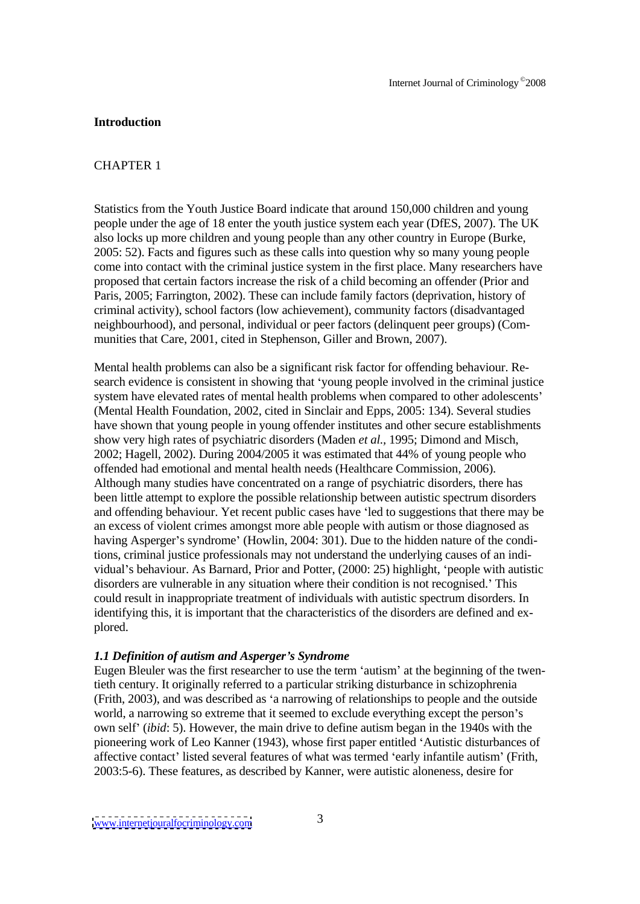### **Introduction**

## CHAPTER 1

Statistics from the Youth Justice Board indicate that around 150,000 children and young people under the age of 18 enter the youth justice system each year (DfES, 2007). The UK also locks up more children and young people than any other country in Europe (Burke, 2005: 52). Facts and figures such as these calls into question why so many young people come into contact with the criminal justice system in the first place. Many researchers have proposed that certain factors increase the risk of a child becoming an offender (Prior and Paris, 2005; Farrington, 2002). These can include family factors (deprivation, history of criminal activity), school factors (low achievement), community factors (disadvantaged neighbourhood), and personal, individual or peer factors (delinquent peer groups) (Com munities that Care, 2001, cited in Stephenson, Giller and Brown, 2007).

Mental health problems can also be a significant risk factor for offending behaviour. Re search evidence is consistent in showing that young people involved in the criminal justice system have elevated rates of mental health problems when compared to other adolescents' (Mental Health Foundation, 2002, cited in Sinclair and Epps, 2005: 134). Several studies have shown that young people in young offender institutes and other secure establishments show very high rates of psychiatric disorders (Maden *et al.,* 1995; Dimond and Misch, 2002; Hagell, 2002). During 2004/2005 it was estimated that 44% of young people who offended had emotional and mental health needs (Healthcare Commission, 2006). Although many studies have concentrated on a range of psychiatric disorders, there has been little attempt to explore the possible relationship between autistic spectrum disorders and offending behaviour. Yet recent public cases have 'led to suggestions that there may be an excess of violent crimes amongst more able people with autism or those diagnosed as having Asperger's syndrome' (Howlin, 2004: 301). Due to the hidden nature of the conditions, criminal justice professionals may not understand the underlying causes of an indi vidual's behaviour. As Barnard, Prior and Potter, (2000: 25) highlight, 'people with autistic disorders are vulnerable in any situation where their condition is not recognised. This could result in inappropriate treatment of individualswith autistic spectrum disorders. In identifying this, it is important that the characteristics of the disorders are defined and ex plored. The contract of the contract of the contract of the contract of the contract of the contract of the contract of the contract of the contract of the contract of the contract of the contract of the contract of the co

## *1.1 Definition of autism and Asperger s Syndrome*

Eugen Bleuler was the first researcher to use the term 'autism' at the beginning of the twentieth century. It originally referred to a particular striking disturbance in schizophrenia (Frith, 2003), and was described as 'a narrowing of relationships to people and the outside world, a narrowing so extreme that it seemed to exclude everything except the person's own self (*ibid*: 5). However, the main drive to define autism began in the 1940s with the pioneering work of Leo Kanner (1943), whose first paper entitled 'Autistic disturbances of affective contact' listed several features of what was termed 'early infantile autism' (Frith, 2003:5-6). These features, as described by Kanner, were autisticaloneness, desire for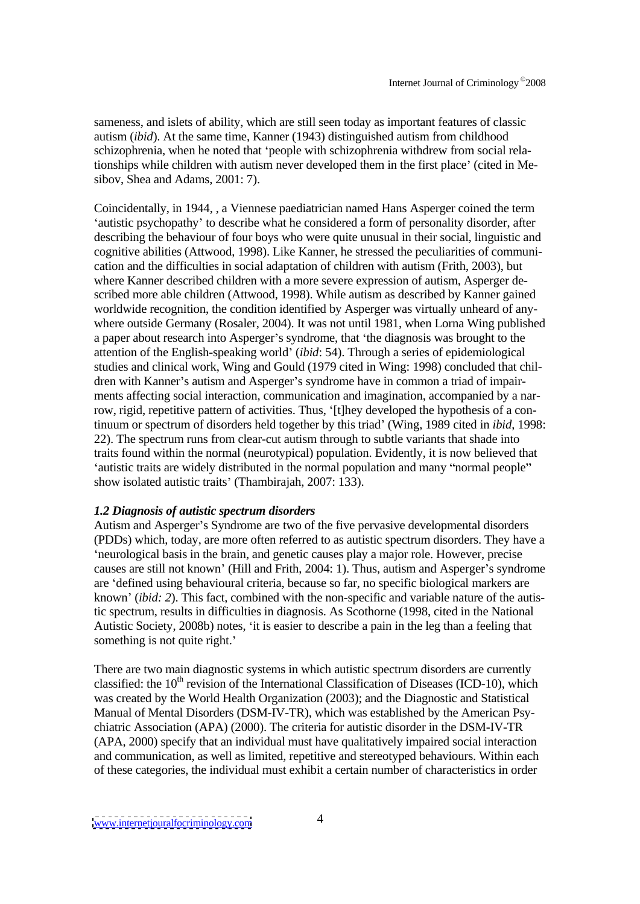sameness, and islets of ability, which are still seen today as important features of classic autism (*ibid*). At the same time, Kanner (1943) distinguished autism from childhood schizophrenia, when he noted that 'people with schizophrenia withdrew from social relationships while children with autism never developed them in the first place (cited in Me sibov, Shea and Adams, 2001: 7).

Coincidentally, in 1944, , a Viennese paediatrician named Hans Asperger coined the term 'autistic psychopathy' to describe what he considered a form of personality disorder, after describing the behaviour of four boys who were quite unusual in their social, linguistic and cognitive abilities (Attwood, 1998). Like Kanner, he stressed the peculiarities of communi cation and the difficulties in social adaptation of children with autism (Frith, 2003), but where Kanner described children with a more severe expression of autism, Asperger de scribed more able children (Attwood, 1998). While autism as described by Kanner gained worldwide recognition, the condition identified by Asperger was virtually unheard of anywhere outside Germany (Rosaler, 2004). It was not until 1981, when Lorna Wing published a paper about research into Asperger's syndrome, that 'the diagnosis was brought to the attention of the English-speaking world (*ibid*: 54). Through a series of epidemiological studies and clinical work, Wing and Gould (1979 cited in Wing: 1998) concluded that chil dren with Kanner's autism and Asperger's syndrome have in common a triad of impairments affecting social interaction, communication and imagination, accompanied by a narrow, rigid, repetitive pattern of activities. Thus, '[t]hey developed the hypothesis of a continuum or spectrum of disorders held together by this triad' (Wing, 1989 cited in *ibid*, 1998: 22). The spectrum runs from clear-cut autism through to subtle variants that shade into traits found within the normal (neurotypical) population. Evidently, it is now believed that 'autistic traits are widely distributed in the normal population and many "normal people" show isolated autistic traits' (Thambirajah, 2007: 133).

## *1.2 Diagnosis of autistic spectrum disorders*

Autism and Asperger's Syndrome are two of the five pervasive developmental disorders (PDDs) which, today, are more often referred to as autistic spectrum disorders. They have a neurological basis in the brain, and genetic causes play a major role. However, precise causes are still not known' (Hill and Frith, 2004: 1). Thus, autism and Asperger's syndrome are 'defined using behavioural criteria, because so far, no specific biological markers are known (*ibid: 2*). This fact, combined with the non-specific and variable nature of the autistic spectrum, results in difficulties in diagnosis. As Scothorne(1998, cited in the National Autistic Society, 2008b) notes, 'it is easier to describe a pain in the leg than a feeling that something is not quite right.'

There are two main diagnostic systems in which autistic spectrum disorders are currently classified: the 10<sup>th</sup> revision of the International Classification of Diseases (ICD-10), which was created by the World Health Organization (2003); and the Diagnostic and Statistical Manual of Mental Disorders (DSM-IV-TR), which was established by the American Psy chiatric Association (APA) (2000). The criteria for autistic disorder in the DSM-IV-TR (APA, 2000) specify that an individual must have qualitatively impaired social interaction and communication, as well as limited, repetitive and stereotyped behaviours. Within each of these categories, the individual must exhibit a certain number of characteristics in order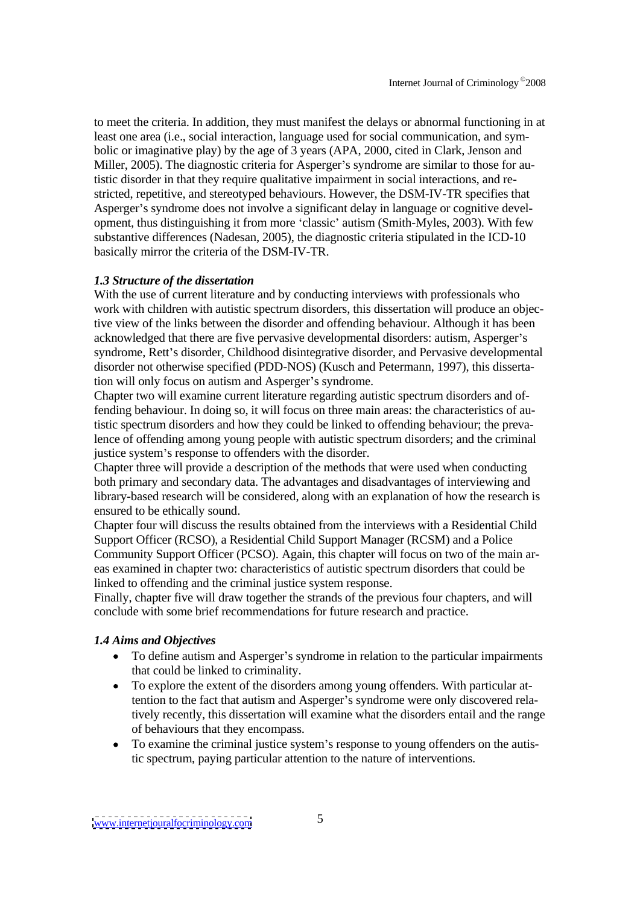to meet the criteria. In addition, they must manifest the delays or abnormal functioning in at least one area (i.e., social interaction, language used for social communication, and sym bolic or imaginative play) by the age of 3 years (APA, 2000, cited in Clark, Jenson and Miller, 2005). The diagnostic criteria for Asperger's syndrome are similar to those for autistic disorder in that they require qualitative impairment in social interactions, and re stricted, repetitive, and stereotyped behaviours. However, the DSM-IV-TR specifies that Asperger's syndrome does not involve a significant delay in language or cognitive development, thus distinguishing it from more 'classic' autism (Smith-Myles, 2003). With few substantive differences (Nadesan, 2005), the diagnostic criteria stipulated in the ICD-10 basically mirror the criteria of the DSM-IV-TR.

## *1.3 Structure of the dissertation*

With the use of current literature and by conducting interviews with professionals who work with children with autistic spectrum disorders, this dissertation will produce an objective view of the links between the disorder and offending behaviour. Although it has been acknowledged that there are five pervasive developmental disorders: autism, Asperger's syndrome, Rett's disorder, Childhood disintegrative disorder, and Pervasive developmental disorder not otherwise specified (PDD-NOS) (Kusch and Petermann, 1997), this dissertation will only focus on autism and Asperger's syndrome.

Chapter two will examine current literature regarding autistic spectrum disorders and offending behaviour. In doing so, it will focus on three main areas: the characteristics of autistic spectrum disorders and how they could be linked to offending behaviour; the prevalence of offending among young people with autistic spectrum disorders; and the criminal justice system's response to offenders with the disorder.

Chapter three will provide a description of the methods that were used when conducting both primary and secondary data. The advantages and disadvantages of interviewing and library-based research will be considered, along with an explanation of how the research is ensured to be ethically sound.

Chapter four will discuss the results obtained from the interviews with a Residential Child Support Officer (RCSO), a Residential Child Support Manager (RCSM) and a Police Community Support Officer (PCSO). Again, this chapter will focus on two of the main ar eas examined in chapter two: characteristics of autistic spectrum disorders that could be linked to offending and the criminal justice system response.

Finally, chapter five will draw together the strands of the previous four chapters, and will conclude with some brief recommendations for future research and practice.

### *1.4 Aims and Objectives*

- To define autism and Asperger's syndrome in relation to the particular impairments that could be linked to criminality.
- To explore the extent of the disorders among young offenders. With particular attention to the fact that autism and Asperger's syndrome were only discovered relatively recently, this dissertation will examine what the disorders entail and the range of behaviours that they encompass.
- To examine the criminal justice system's response to young offenders on the autis- $\bullet$ tic spectrum, paying particular attention to the nature of interventions.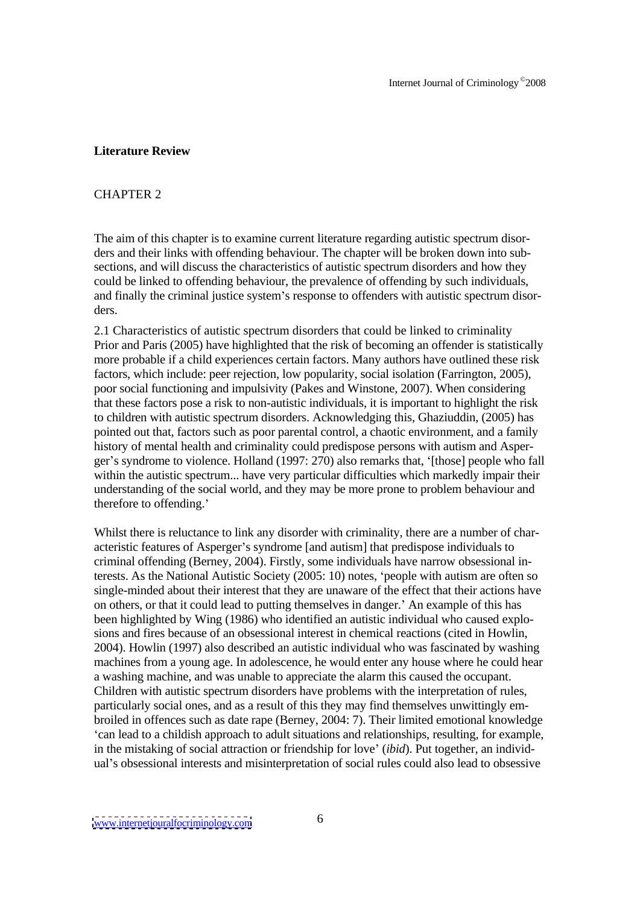## **Literature Review**

## CHAPTER 2

The aim of this chapter is to examine current literature regarding autistic spectrum disor ders and their links with offending behaviour. The chapter will be broken down into sub sections, and will discuss the characteristics of autistic spectrum disorders and how they could be linked to offending behaviour, the prevalence of offending by such individuals, and finally the criminal justice system's response to offenders with autistic spectrum disorders.

2.1 Characteristics of autistic spectrum disorders that could be linked to criminality Prior and Paris (2005) have highlighted that the risk of becoming an offender is statistically more probable if a child experiences certain factors. Many authors have outlined these risk factors, which include: peer rejection, low popularity, social isolation (Farrington, 2005), poor social functioning and impulsivity (Pakes and Winstone, 2007). When considering that these factors pose a risk to non-autistic individuals, it is important to highlight the risk to children with autistic spectrum disorders. Acknowledging this, Ghaziuddin, (2005) has pointed out that, factors such as poor parental control, a chaotic environment, and a family history of mental health and criminality could predispose persons with autism and Asper ger's syndrome to violence. Holland (1997: 270) also remarks that, '[those] people who fall within the autistic spectrum... have very particular difficulties which markedly impair their understanding of the social world, and they may be more proneto problem behaviour and therefore to offending.'

Whilst there is reluctance to link any disorder with criminality, there are a number of characteristic features of Asperger's syndrome [and autism] that predispose individuals to criminal offending (Berney, 2004). Firstly, some individuals have narrow obsessional interests. As the National Autistic Society (2005: 10) notes, 'people with autism are often so single-minded about their interest that they are unaware of the effect that their actions have on others, or that it could lead to putting themselvesin danger. An example of this has been highlighted by Wing (1986) who identified an autistic individual who caused explo sions and fires because of an obsessional interest in chemical reactions (cited in Howlin, 2004). Howlin (1997) also described an autistic individual who was fascinated by washing machines from a young age. In adolescence, he would enter any house where he could hear a washing machine, and was unable to appreciate the alarm this caused the occupant. Children with autistic spectrum disorders have problems with the interpretation of rules, particularly social ones, and as a result of this they may find themselves unwittingly em broiled in offences such as date rape (Berney, 2004: 7). Their limited emotional knowledge can lead to a childish approach to adult situations and relationships, resulting, for example, in the mistaking of social attraction or friendship for love (*ibid*). Put together, an individ ual's obsessional interests and misinterpretation of social rules could also lead to obsessive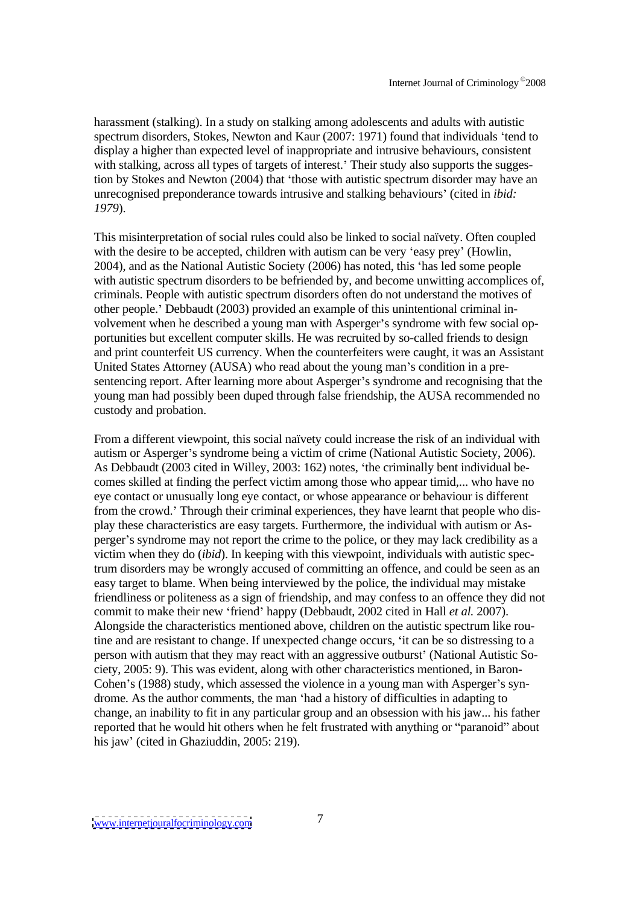harassment (stalking). In a study on stalking among adolescents and adults with autistic spectrum disorders, Stokes, Newton and Kaur (2007: 1971) found that individuals 'tend to display a higher than expected level of inappropriate and intrusive behaviours, consistent with stalking, across all types of targets of interest. Their study also supports the suggestion by Stokes and Newton (2004) that 'those with autistic spectrum disorder may have an unrecognised preponderance towards intrusive and stalking behaviours' (cited in *ibid: 1979*).

This misinterpretation of social rules could also be linked to social naïvety. Often coupled with the desire to be accepted, children with autism can be very 'easy prey' (Howlin, 2004), and as the National Autistic Society (2006) has noted, this 'has led some people with autistic spectrum disorders to be befriended by, and become unwitting accomplices of, criminals. People with autistic spectrum disorders often do not understand the motives of other people.' Debbaudt (2003) provided an example of this unintentional criminal involvement when he described a young man with Asperger's syndrome with few social opportunities but excellent computer skills. He was recruited by so-called friends to design and print counterfeit US currency. When the counterfeiters were caught, it was an Assistant United States Attorney (AUSA) who read about the young man's condition in a presentencing report. After learning more about Asperger's syndrome and recognising that the young man had possibly been duped through false friendship, the AUSA recommended no custody and probation.

From a different viewpoint, this social naïvety could increase the risk of an individual with autism or Asperger's syndrome being a victim of crime (National Autistic Society, 2006). As Debbaudt (2003 cited in Willey, 2003: 162) notes, the criminally bent individual be comes skilled at finding the perfect victim among those who appear timid,... who have no eye contact or unusually long eye contact, or whose appearance or behaviour is different from the crowd. Through their criminal experiences, they have learnt that people who dis play these characteristics are easy targets. Furthermore, the individual with autism or As perger s syndrome may not report the crime to the police, or they may lack credibility as a victim when they do (*ibid*). In keeping with this viewpoint, individuals with autistic spectrum disorders may be wrongly accused of committing an offence, and could be seen as an easy target to blame. When being interviewed by the police, the individual may mistake friendliness or politeness as a sign of friendship, and may confess to an offence they did not commit to make their new friend happy (Debbaudt, 2002 cited in Hall *et al.* 2007). Alongside the characteristics mentioned above, children on the autistic spectrum like routine and are resistant to change. If unexpected change occurs, 'it can be so distressing to a person with autism that they may react with an aggressive outburst' (National Autistic Society, 2005: 9). This was evident, along with other characteristics mentioned, in Baron- Cohen's (1988) study, which assessed the violence in a young man with Asperger's syndrome. As the author comments, the man 'had a history of difficulties in adapting to change, an inability to fit in any particular group and an obsession with his jaw... his father reported that he would hit others when he felt frustrated with anything or "paranoid" about his jaw' (cited in Ghaziuddin, 2005: 219).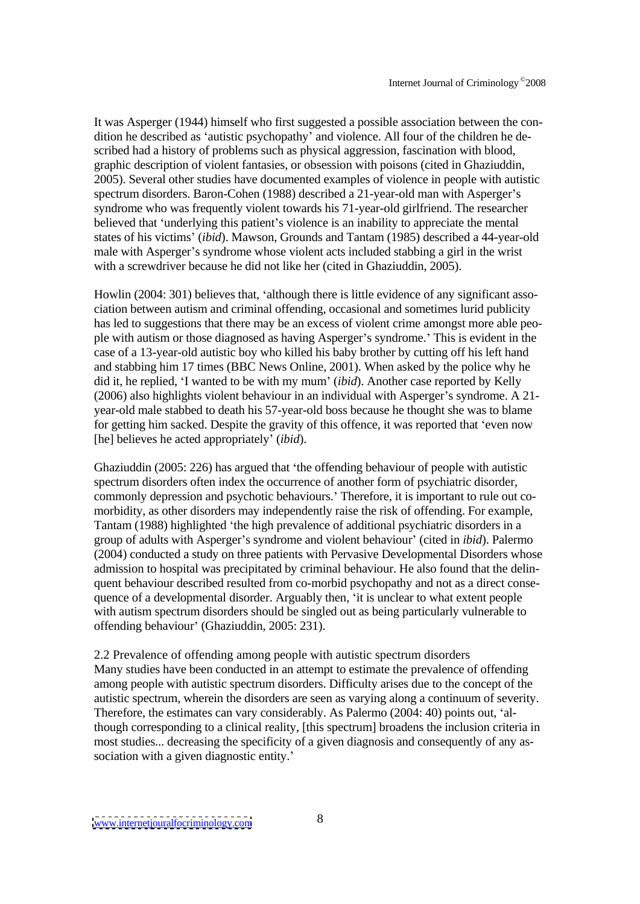It was Asperger (1944) himself who first suggested a possible association between the con dition he described as 'autistic psychopathy' and violence. All four of the children he described had a history of problems such as physical aggression, fascination with blood, graphic description of violent fantasies, or obsession with poisons (cited in Ghaziuddin, 2005). Several other studies have documented examples of violence in people with autistic spectrum disorders. Baron-Cohen (1988) described a 21-year-old man with Asperger's syndrome who was frequently violent towards his 71-year-old girlfriend. The researcher believed that 'underlying this patient's violence is an inability to appreciate the mental states of his victims (*ibid*). Mawson, Grounds and Tantam (1985) described a 44-year-old male with Asperger's syndrome whose violent acts included stabbing a girl in the wrist with a screwdriver because he did not like her (cited in Ghaziuddin, 2005).

Howlin  $(2004: 301)$  believes that, 'although there is little evidence of any significant association between autism and criminal offending, occasional and sometimes lurid publicity has led to suggestions that there may be an excess of violent crime amongst more able peo ple with autism or those diagnosed as having Asperger's syndrome.' This is evident in the case of a 13-year-old autistic boy who killed his baby brother by cutting off his left hand and stabbing him 17 times (BBC News Online, 2001). When asked by the police why he did it, he replied, 'I wanted to be with my mum' (*ibid*). Another case reported by Kelly  $(2006)$  also highlights violent behaviour in an individual with Asperger's syndrome. A 21year-old male stabbed to death his 57-year-old boss because he thought she was to blame for getting him sacked. Despite the gravity of this offence, it was reported that 'even now [he] believes he acted appropriately' *(ibid)*.

Ghaziuddin (2005: 226) has argued that the offending behaviour of people with autistic spectrum disorders often index the occurrence of another form of psychiatric disorder, commonly depression and psychotic behaviours. Therefore, it is important to rule out co-morbidity, as other disorders may independently raise the risk of offending. For example, Tantam (1988) highlighted 'the high prevalence of additional psychiatric disorders in a group of adults with Asperger's syndrome and violent behaviour' (cited in *ibid*). Palermo (2004) conducted a study on three patients with Pervasive Developmental Disorders whose admission to hospital was precipitated by criminal behaviour. He also found that the delin quent behaviour described resulted from co-morbid psychopathy and not as a direct conse quence of a developmental disorder. Arguably then, 'it is unclear to what extent people with autism spectrum disorders should be singled out as being particularly vulnerable to offending behaviour' (Ghaziuddin, 2005: 231).

2.2 Prevalence of offending among people with autistic spectrum disorders Many studies have been conducted in an attempt to estimate the prevalence of offending among people with autistic spectrum disorders. Difficulty arises due to the concept of the autistic spectrum, wherein the disorders are seen as varying along a continuum of severity. Therefore, the estimates can vary considerably. As Palermo  $(2004: 40)$  points out. 'although corresponding to a clinical reality, [this spectrum] broadens the inclusion criteria in most studies... decreasing the specificity of a given diagnosis and consequently of any as sociation with a given diagnostic entity.'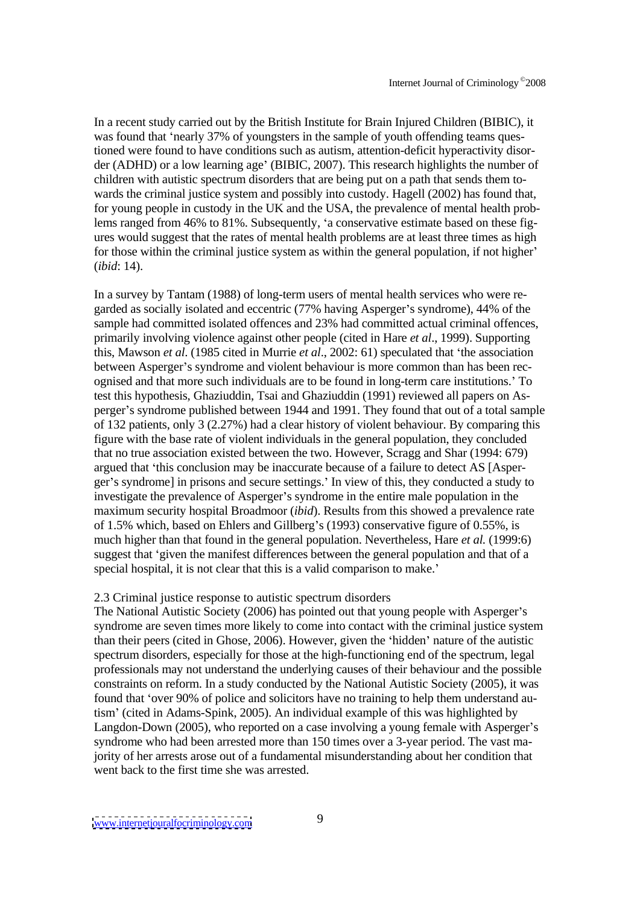In a recent study carried out by the British Institute for Brain Injured Children (BIBIC), it was found that 'nearly 37% of youngsters in the sample of youth offending teams questioned were found to have conditions such as autism, attention-deficit hyperactivity disor der (ADHD) or a low learning age' (BIBIC, 2007). This research highlights the number of children with autistic spectrum disorders that are being put on a path that sends them to wards the criminal justice system and possibly into custody. Hagell (2002) has found that, for young people in custody in the UK and the USA, the prevalence of mental health problems ranged from 46% to 81%. Subsequently, 'a conservative estimate based on these figures would suggest that the rates of mental health problems are at least three times as high for those within the criminal justice system as within the general population, if not higher (*ibid*: 14).

In a survey by Tantam (1988) of long-term users of mental health services who were re garded as socially isolated and eccentric (77% having Asperger's syndrome), 44% of the sample had committed isolated offences and 23% had committed actual criminal offences, primarily involving violence against other people (cited in Hare *et al*., 1999). Supporting this, Mawson *et al*. (1985 cited in Murrie *et al*., 2002: 61) speculated that the association between Asperger's syndrome and violent behaviour is more common than has been recognised and that more such individuals are to be found in long-term care institutions. To test this hypothesis, Ghaziuddin, Tsai and Ghaziuddin (1991) reviewed all papers on As perger's syndrome published between 1944 and 1991. They found that out of a total sample of 132 patients, only 3 (2.27%) had a clear history of violent behaviour. By comparing this figure with the base rate of violent individuals in the general population, they concluded that no true association existed between the two. However, Scragg and Shar (1994: 679) argued that 'this conclusion may be inaccurate because of a failure to detect AS [Asper-ger's syndrome] in prisons and secure settings.' In view of this, they conducted a study to investigate the prevalence of Asperger's syndrome in the entire male population in the maximum security hospital Broadmoor (*ibid*). Results from this showed a prevalence rate of 1.5% which, based on Ehlers and Gillberg's (1993) conservative figure of  $0.55\%$ , is much higher than that found in the general population. Nevertheless, Hare *et al.* (1999:6) suggest that 'given the manifest differences between the general population and that of a special hospital, it is not clear that this is a valid comparison to make.

### 2.3 Criminal justice response to autistic spectrum disorders

The National Autistic Society (2006) has pointed out that young people with Asperger's syndrome are seven times more likely to come into contact with the criminal justice system than their peers (cited in Ghose, 2006). However, given the 'hidden' nature of the autistic spectrum disorders, especially for those at the high-functioning end of the spectrum, legal professionals may not understand the underlying causes of their behaviour and the possible constraints on reform. In a study conducted by the National Autistic Society (2005), it was found that 'over 90% of police and solicitors have no training to help them understand autism' (cited in Adams-Spink, 2005). An individual example of this was highlighted by Langdon-Down (2005), who reported on a case involving a young female with Asperger's syndrome who had been arrested more than 150 times over a 3-year period. The vast majority of her arrests arose out of a fundamental misunderstanding about her condition that went back to the first time she was arrested.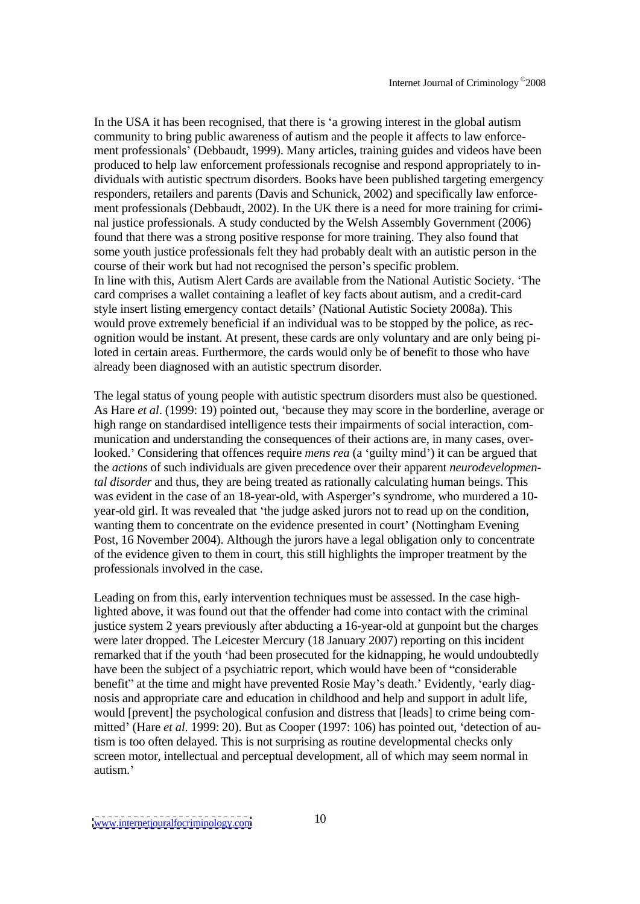In the USA it has been recognised, that there is 'a growing interest in the global autism community to bring public awareness of autism and the people it affects to law enforcement professionals' (Debbaudt, 1999). Many articles, training guides and videos have been produced to help law enforcement professionals recognise and respond appropriately to in dividuals with autistic spectrum disorders. Books have been published targeting emergency responders, retailers and parents (Davis and Schunick, 2002) and specifically law enforce ment professionals (Debbaudt, 2002). In the UK there is a need for more training for crimi nal justice professionals. A study conducted by the Welsh Assembly Government (2006) found that there was a strong positive response for more training. They also found that some youth justice professionals felt they had probably dealt with an autistic person in the course of their work but had not recognised the person's specific problem. In line with this, Autism Alert Cards are available from the National Autistic Society. The card comprises a wallet containing a leaflet of key facts about autism, and a credit-card style insert listing emergency contact details' (National Autistic Society 2008a). This would prove extremely beneficial if an individual was to be stopped by the police, as rec ognition would be instant. At present, these cards are only voluntary and are only being piloted in certain areas. Furthermore, the cards would only be of benefit to those who have already been diagnosed with an autistic spectrum disorder.

The legal status of young people with autistic spectrum disorders must also be questioned. As Hare *et al.* (1999: 19) pointed out, 'because they may score in the borderline, average or high range on standardised intelligence tests their impairments of social interaction, com munication and understanding the consequences of their actions are, in many cases, overlooked.' Considering that offences require *mens rea* (a 'guilty mind') it can be argued that the *actions* of such individuals are given precedence over their apparent *neurodevelopmental disorder* and thus, they are being treated as rationally calculating human beings. This was evident in the case of an 18-year-old, with Asperger's syndrome, who murdered a 10year-old girl. It was revealed that 'the judge asked jurors not to read up on the condition, wanting them to concentrate on the evidence presented in court' (Nottingham Evening) Post, 16 November 2004). Although the jurors have a legal obligation only to concentrate of the evidence given to them in court, this still highlights the improper treatment by the professionals involved in the case.

Leading on from this, early intervention techniques must be assessed. In the case highlighted above, it was found out that the offender had come into contact with the criminal justice system 2 years previously after abducting a 16-year-old at gunpoint but the charges were later dropped. The Leicester Mercury (18 January 2007) reporting on this incident remarked that if the youth 'had been prosecuted for the kidnapping, he would undoubtedly have been the subject of a psychiatric report, which would have been of "considerable" benefit" at the time and might have prevented Rosie May's death.' Evidently, 'early diagnosis and appropriate care and education in childhood and help and support in adult life, would [prevent] the psychological confusion and distress that [leads] to crime being com mitted' (Hare *et al.* 1999: 20). But as Cooper (1997: 106) has pointed out, 'detection of autism is too often delayed. This is not surprising as routine developmental checks only screen motor, intellectual and perceptual development, all of which may seem normal in autism.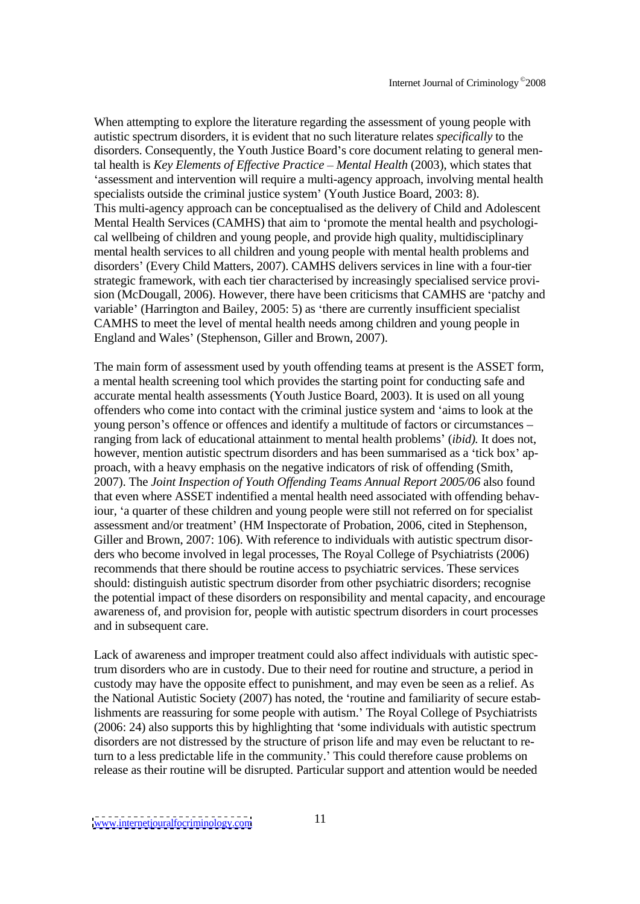When attempting to explore the literature regarding the assessment of young people with autistic spectrum disorders, it is evident that no such literature relates *specifically* to the disorders. Consequently, the Youth Justice Board's core document relating to general mental health is *Key Elements of Ef ective Practice Mental Health* (2003), which states that 'assessment and intervention will require a multi-agency approach, involving mental health specialists outside the criminal justice system' (Youth Justice Board, 2003: 8). This multi-agency approach can be conceptualised as the delivery of Child and Adolescent Mental Health Services (CAMHS) that aim to 'promote the mental health and psychological wellbeing of children and young people, and provide high quality, multidisciplinary mental health services to all children and young people with mental health problems and disorders' (Every Child Matters, 2007). CAMHS delivers services in line with a four-tier strategic framework, with each tier characterised by increasingly specialised service provi sion (McDougall, 2006). However, there have been criticisms that CAMHS are 'patchy and variable' (Harrington and Bailey, 2005: 5) as 'there are currently insufficient specialist CAMHS to meet the level of mental health needs among children and young people in England and Wales' (Stephenson, Giller and Brown, 2007).

The main form of assessment used by youth offending teams at present is the ASSET form, a mental health screening tool which provides the starting point for conducting safe and accurate mental health assessments (Youth Justice Board, 2003). It is used on all young offenders who come into contact with the criminal justice system and 'aims to look at the young person's offence or offences and identify a multitude of factors or circumstances – ranging from lack of educational attainment to mental health problems' *(ibid)*. It does not, however, mention autistic spectrum disorders and has been summarised as a 'tick box' approach, with a heavy emphasis on the negative indicators of risk of offending (Smith, 2007). The *Joint Inspection of Youth Of ending Teams Annual Report 2005/06* also found that even where ASSET indentified a mental health need associated with offending behaviour, 'a quarter of these children and young people were still not referred on for specialist assessment and/or treatment' (HM Inspectorate of Probation, 2006, cited in Stephenson, Giller and Brown, 2007: 106). With reference to individuals with autistic spectrum disor ders who become involved in legal processes, The Royal College of Psychiatrists (2006) recommends that there should be routine access to psychiatric services. These services should: distinguish autistic spectrum disorder from other psychiatric disorders; recognise the potential impact of these disorders on responsibility and mental capacity, and encourage awareness of, and provision for, people with autistic spectrum disorders in court processes and in subsequent care.

Lack of awareness and improper treatment could also affect individuals with autistic spectrum disorders who are in custody. Due to their need for routine and structure, a period in custody may have the opposite effect to punishment, and may even be seen as a relief. As the National Autistic Society (2007) has noted, the 'routine and familiarity of secure establishments are reassuring for some people with autism. The Royal College of Psychiatrists  $(2006: 24)$  also supports this by highlighting that 'some individuals with autistic spectrum disorders are not distressed by the structure of prison life and may even be reluctant to return to a less predictable life in the community. This could therefore cause problems on release as their routine will be disrupted. Particular support and attention would be needed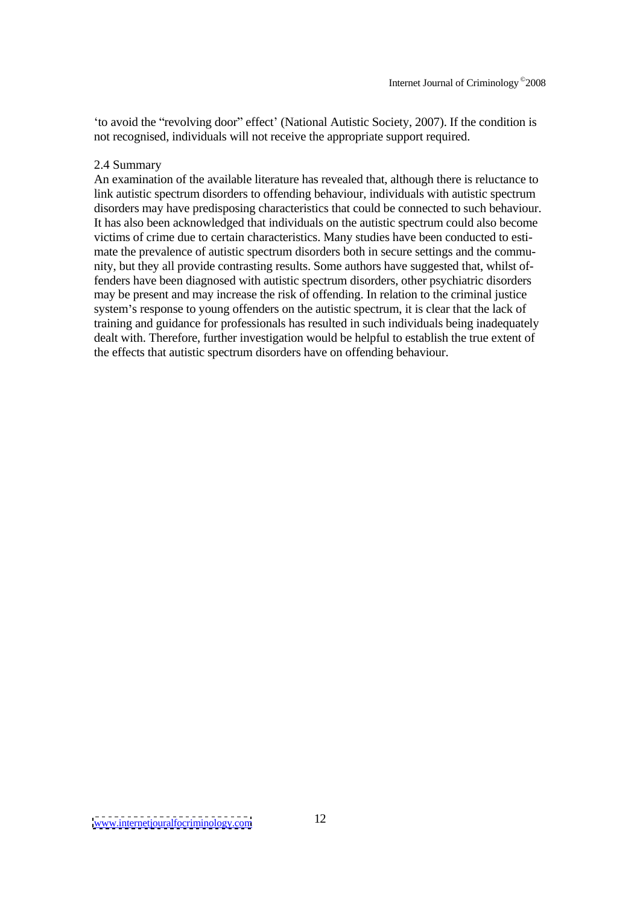'to avoid the "revolving door" effect' (National Autistic Society, 2007). If the condition is not recognised, individuals will not receive the appropriate support required.

## 2.4 Summary

An examination of the available literature has revealed that, although there is reluctance to link autistic spectrum disorders to offending behaviour, individuals with autistic spectrum disorders may have predisposing characteristics that could be connected to such behaviour. It has also been acknowledged that individuals on the autistic spectrum could also become victims of crime due to certain characteristics. Many studies have been conducted to esti mate the prevalence of autistic spectrum disorders both in secure settings and the commu nity, but they all provide contrasting results. Some authors have suggested that, whilst offenders have been diagnosed with autistic spectrum disorders, other psychiatric disorders may be present and may increase the risk of offending. In relation to the criminal justice system's response to young offenders on the autistic spectrum, it is clear that the lack of training and guidance for professionals has resulted in such individuals being inadequately dealt with. Therefore, further investigation would be helpful to establish the true extent of the effects that autistic spectrum disorders have on offending behaviour.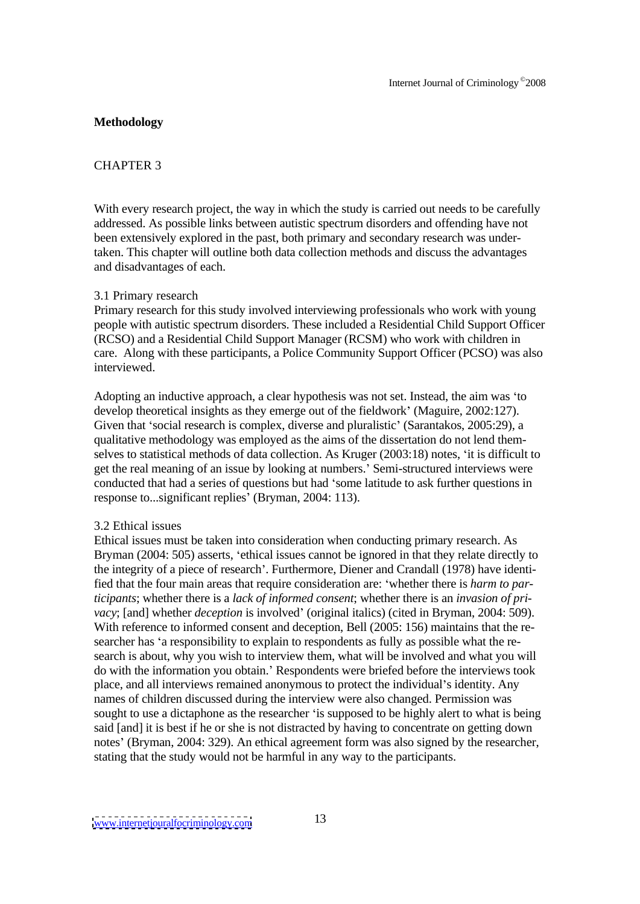## **Methodology**

## CHAPTER 3

With every research project, the way in which the study is carried out needs to be carefully addressed. As possible links between autistic spectrum disorders and offending have not been extensively explored in the past, both primary and secondary research was undertaken. This chapter will outline both data collection methods and discuss the advantages and disadvantages of each.

## 3.1 Primary research

Primary research for this study involved interviewing professionals who work with young people with autistic spectrum disorders. These included a Residential Child Support Officer (RCSO) and a Residential Child Support Manager (RCSM) who work with children in care. Along with these participants, a Police Community Support Officer (PCSO) was also interviewed.

Adopting an inductive approach, a clear hypothesis was not set. Instead, the aim was 'to develop theoretical insights as they emerge out of the fieldwork' (Maguire, 2002:127). Given that 'social research is complex, diverse and pluralistic' (Sarantakos, 2005:29), a qualitative methodology was employed as the aims of the dissertation do not lend themselves to statistical methods of data collection. As Kruger (2003:18) notes, 'it is difficult to get the real meaning of an issue by looking at numbers. Semi-structured interviews were conducted that had a series of questions but had 'some latitude to ask further questions in response to...significant replies' (Bryman, 2004: 113).

### 3.2 Ethical issues

Ethical issues must be taken into consideration when conducting primary research. As Bryman (2004: 505) asserts, 'ethical issues cannot be ignored in that they relate directly to the integrity of a piece of research . Furthermore, Diener and Crandall (1978) have identified that the four main areas that require consideration are: whether there is *harm to participants*; whether there is a *lack of informed consent*; whether there is an *invasion of pri vacy*; [and] whether *deception* is involved' (original italics) (cited in Bryman, 2004: 509). With reference to informed consent and deception, Bell (2005: 156) maintains that the re searcher has 'a responsibility to explain to respondents as fully as possible what the research is about, why you wish to interview them, what will be involved and what you will do with the information you obtain. Respondents were briefed before the interviews took place, and all interviews remained anonymous to protect the individual's identity. Any names of children discussed during the interview were also changed. Permission was sought to use a dictaphone as the researcher 'is supposed to be highly alert to what is being said [and] it is best if he or she is not distracted by having to concentrate on getting down notes' (Bryman, 2004: 329). An ethical agreement form was also signed by the researcher, stating that the study would not be harmful in any way to the participants.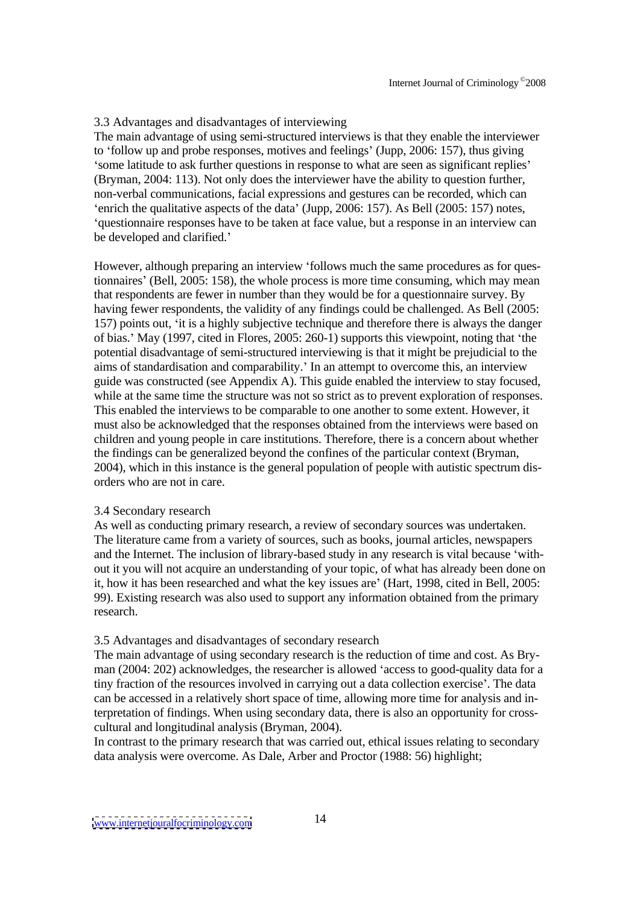## 3.3 Advantages and disadvantages of interviewing

The main advantage of using semi-structured interviews is that they enable the interviewer to 'follow up and probe responses, motives and feelings' (Jupp, 2006: 157), thus giving some latitude to ask further questions in response to what are seen as significant replies (Bryman, 2004: 113). Not only does the interviewer have the ability to question further, non-verbal communications, facial expressions and gestures can be recorded, which can 'enrich the qualitative aspects of the data' (Jupp, 2006: 157). As Bell (2005: 157) notes, 'auestionnaire responses have to be taken at face value, but a response in an interview can be developed and clarified.

However, although preparing an interview 'follows much the same procedures as for questionnaires (Bell, 2005: 158), the whole process is more time consuming, which may mean that respondents are fewer in number than they would be for a questionnaire survey. By having fewer respondents, the validity of any findings could be challenged. As Bell (2005: 157) points out, it is a highly subjective technique and therefore there is always the danger of bias. May (1997, cited in Flores, 2005: 260-1) supports this viewpoint, noting that the potential disadvantage of semi-structured interviewing is that it might be prejudicial to the aims of standardisation and comparability. In an attempt to overcome this, an interview guide was constructed (see Appendix A). This guide enabled the interview to stay focused, while at the same time the structure was not so strict as to prevent exploration of responses. This enabled the interviews to be comparable to one another to some extent. However, it must also be acknowledged that the responses obtained from the interviews were based on children and young people in care institutions. Therefore, there is a concern about whether the findings can be generalized beyond the confines of the particular context (Bryman, 2004), which in this instance is the general population of people with autistic spectrum dis orders who are not in care.

## 3.4 Secondary research

As well as conducting primary research, a review of secondary sources was undertaken. The literature came from a variety of sources, such as books, journal articles, newspapers and the Internet. The inclusion of library-based study in any research is vital because 'without it you will not acquire an understanding of your topic, of what has already been done on it, how it has been researched and what the key issues are' (Hart, 1998, cited in Bell, 2005: 99). Existing research was also used to support any information obtained from the primary research.

## 3.5 Advantages and disadvantages of secondary research

The main advantage of using secondary research is the reduction of time and cost. As Bry man  $(2004: 202)$  acknowledges, the researcher is allowed 'access to good-quality data for a tiny fraction of the resources involved in carrying out a data collection exercise . The data can be accessed in a relatively short space of time, allowing more time for analysis and interpretation of findings. When using secondary data, there is also an opportunity for cross cultural and longitudinal analysis (Bryman, 2004).

In contrast to the primary research that was carried out, ethical issues relating to secondary data analysis were overcome. As Dale, Arber and Proctor (1988: 56) highlight;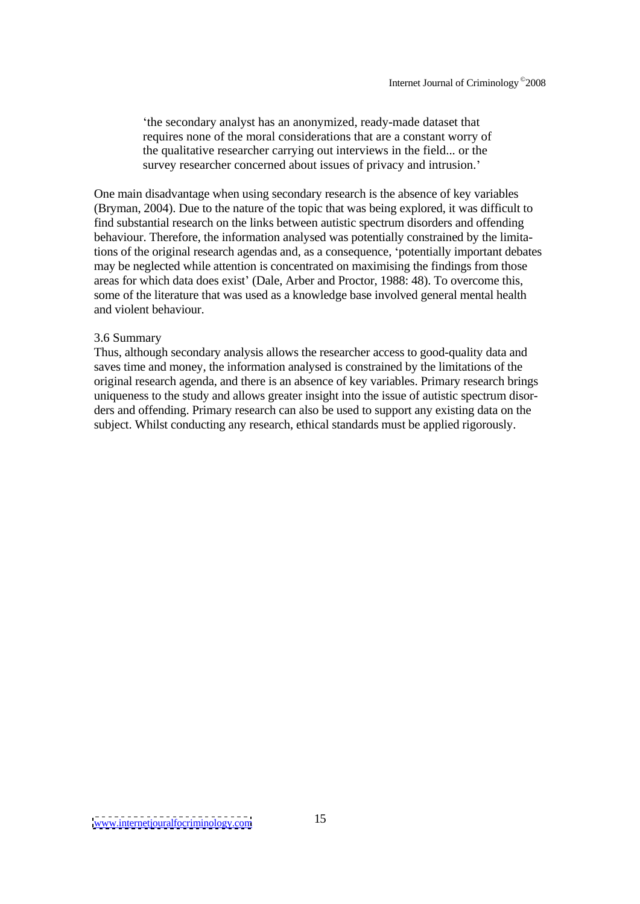the secondary analyst has an anonymized, ready-made dataset that requires none of the moral considerations that are a constant worry of the qualitative researcher carrying out interviews in the field... or the survey researcher concerned about issues of privacy and intrusion.

One main disadvantage when using secondary research is the absence of key variables (Bryman, 2004). Due to the nature of the topic that was being explored, it was difficult to find substantial research on the links between autistic spectrum disorders and offending behaviour. Therefore, the information analysed was potentially constrained by the limitations of the original research agendas and, as a consequence, 'potentially important debates may be neglected while attention is concentrated on maximising the findings from those areas for which data does exist' (Dale, Arber and Proctor, 1988: 48). To overcome this, some of the literature that was used as a knowledge base involved general mental health and violent behaviour.

### 3.6 Summary

Thus, although secondary analysis allows the researcher access to good-quality data and saves time and money, the information analysed is constrained by the limitations of the original research agenda, and there is an absence of key variables. Primary research brings uniqueness to the study and allows greater insight into the issue of autistic spectrum disor ders and offending. Primary research can also be used to support any existing data on the subject. Whilst conducting any research, ethical standards must be applied rigorously.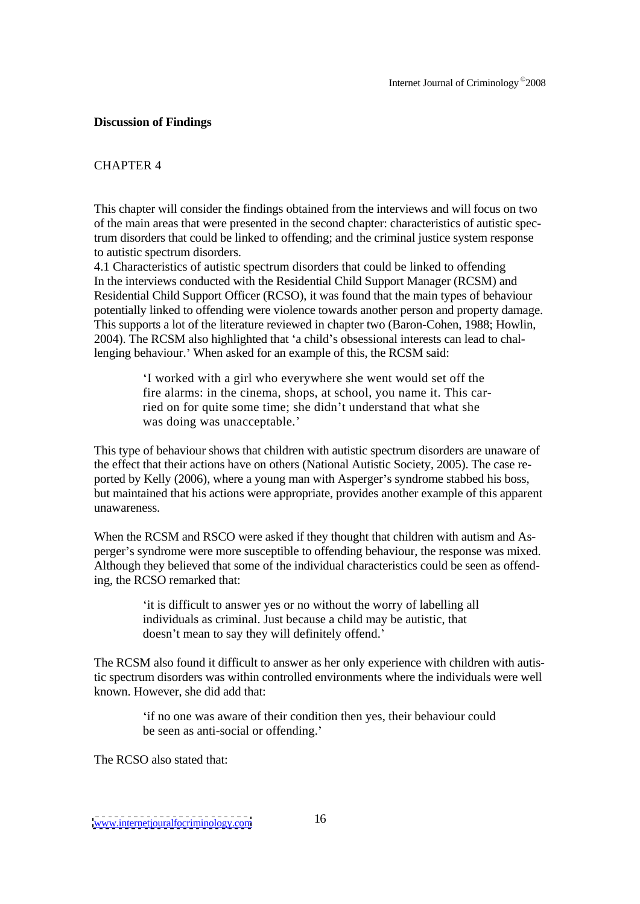## **Discussion of Findings**

## CHAPTER 4

This chapter will consider the findings obtained from the interviews and will focus on two of the main areas that were presented in the second chapter: characteristics of autistic spectrum disorders that could be linked to offending; and the criminal justice system response to autistic spectrum disorders.

4.1 Characteristics of autistic spectrum disorders that could be linked to offending In the interviews conducted with the Residential Child Support Manager (RCSM) and Residential Child Support Officer (RCSO), it was found that the main types of behaviour potentially linked to offending were violence towards another person and property damage. This supports a lot of the literature reviewed in chapter two (Baron-Cohen, 1988; Howlin, 2004). The RCSM also highlighted that 'a child's obsessional interests can lead to challenging behaviour.' When asked for an example of this, the RCSM said:

> I worked with a girl who everywhere she went would set off the fire alarms: in the cinema, shops, at school, you name it. This carried on for quite some time; she didn't understand that what she was doing was unacceptable.'

This type of behaviour shows that children with autistic spectrum disorders are unaware of the effect that their actions have on others (National Autistic Society, 2005). The case re ported by Kelly (2006), where a young man with Asperger's syndrome stabbed his boss, but maintained that his actions were appropriate, provides another example of this apparent unawareness.

When the RCSM and RSCO were asked if they thought that children with autism and As perger s syndrome were more susceptible to offending behaviour, the response was mixed. Although they believed that some of the individual characteristics could be seen as offending, the RCSO remarked that:

it is difficult to answer yes or no without the worry of labelling all individuals as criminal. Just because a child may be autistic, that doesn't mean to say they will definitely offend.'

The RCSM also found it difficult to answer as her only experience with children with autistic spectrum disorders was within controlled environments where the individuals were well known. However, she did add that:

if no one was aware of their condition then yes, their behaviour could be seen as anti-social or offending.

The RCSO also stated that: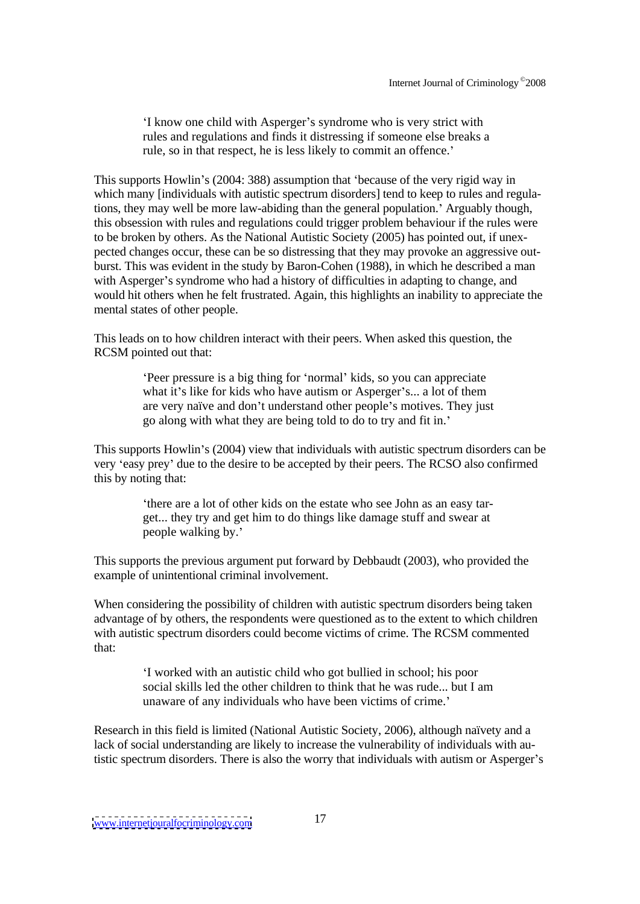I know one child with Asperger's syndrome who is very strict with rules and regulations and finds it distressing if someone else breaks a rule, so in that respect, he is less likely to commit an offence.

This supports Howlin's (2004: 388) assumption that 'because of the very rigid way in which many [individuals with autistic spectrum disorders] tend to keep to rules and regulations, they may well be more law-abiding than the general population.' Arguably though, this obsession with rules and regulations could trigger problem behaviour if the rules were to be broken by others. As the National Autistic Society (2005) has pointed out, if unex pected changes occur, these can be so distressing that they may provoke an aggressive out burst. This was evident in the study by Baron-Cohen (1988), in which he described a man with Asperger's syndrome who had a history of difficulties in adapting to change, and would hit others when he felt frustrated. Again, this highlights an inability to appreciate the mental states of other people.

This leads on to how children interact with their peers. When asked this question, the RCSM pointed out that:

Peer pressure is a big thing for 'normal' kids, so you can appreciate what it's like for kids who have autism or Asperger's... a lot of them are very naïve and don't understand other people's motives. They just go along with what they are being told to do to try and fit in.

This supports Howlin's (2004) view that individuals with autistic spectrum disorders can be very 'easy prey' due to the desire to be accepted by their peers. The RCSO also confirmed this by noting that:

there are a lot of other kids on the estate who see John as an easy tar get... they try and get him to do things like damage stuff and swear at people walking by.'

This supports the previous argument put forward by Debbaudt (2003), who provided the example of unintentional criminal involvement.

When considering the possibility of children with autistic spectrum disorders being taken advantage of by others, the respondents were questioned as to the extent to which children with autistic spectrum disorders could become victims of crime. The RCSM commented that:

I worked with an autistic child who got bullied in school; his poor social skills led the other children to think that he was rude... but I am unaware of any individuals who have been victims of crime.

Research in this field is limited (National Autistic Society, 2006), although naïvety and a lack of social understanding are likely to increase the vulnerability of individuals with autistic spectrum disorders. There is also the worry that individuals with autism or Asperger's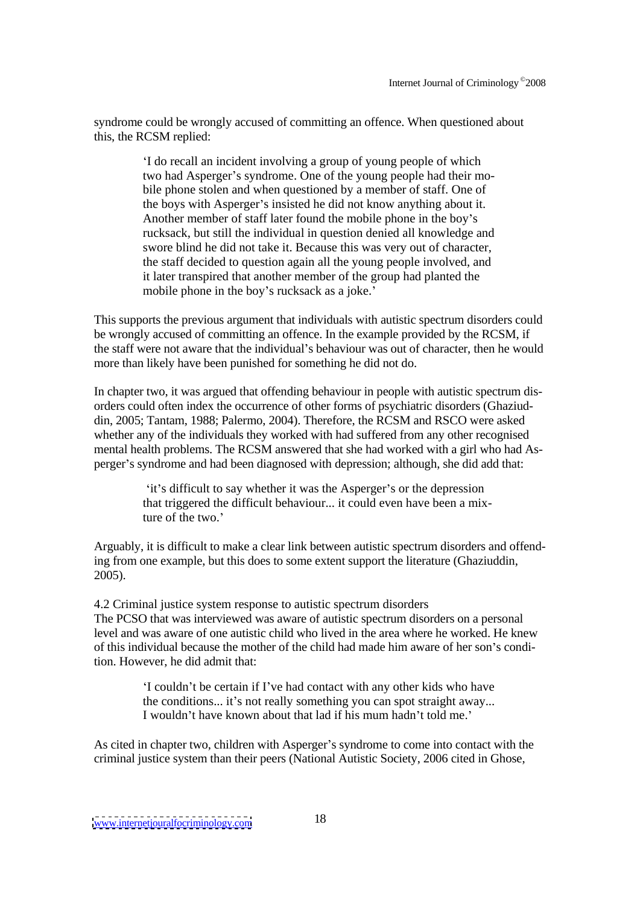syndrome could be wrongly accused of committing an offence. When questioned about this, the RCSM replied:

I do recall an incident involving a group of young people of which two had Asperger's syndrome. One of the young people had their mobile phone stolen and when questioned by a member of staff. One of the boys with Asperger's insisted he did not know anything about it. Another member of staff later found the mobile phone in the boy's rucksack, but still the individual in question denied all knowledge and swore blind he did not take it. Because this was very out of character, the staff decided to question again all the young people involved, and it later transpired that another member of the group had planted the mobile phone in the boy's rucksack as a joke.'

This supports the previous argument that individuals with autistic spectrum disorders could be wrongly accused of committing an offence. In the example provided by the RCSM, if the staff were not aware that the individual's behaviour was out of character, then he would more than likely have been punished for something he did not do.

In chapter two, it was argued that offending behaviour in people with autistic spectrum dis orders could often index the occurrence of other forms of psychiatric disorders (Ghaziud din, 2005; Tantam, 1988; Palermo, 2004). Therefore, the RCSM and RSCO were asked whether any of the individuals they worked with had suffered from any other recognised mental health problems. The RCSM answered that she had worked with a girl who had As perger's syndrome and had been diagnosed with depression; although, she did add that:

> 'it's difficult to say whether it was the Asperger's or the depression that triggered the difficult behaviour... it could even have been a mixture of the two.

Arguably, it is difficult to make a clear link between autistic spectrum disorders and offending from one example, but this does to some extent support the literature (Ghaziuddin, 2005).

4.2 Criminal justice system response to autistic spectrum disorders The PCSO that was interviewed was aware of autistic spectrum disorders on a personal level and was aware of one autistic child who lived in the area where he worked. He knew of this individual because the mother of the child had made him aware of her son's condition. However, he did admit that:

> 'I couldn't be certain if I've had contact with any other kids who have the conditions... it's not really something you can spot straight away... I wouldn't have known about that lad if his mum hadn't told me.

As cited in chapter two, children with Asperger's syndrome to come into contact with the criminal justice system than their peers (National Autistic Society, 2006 cited in Ghose,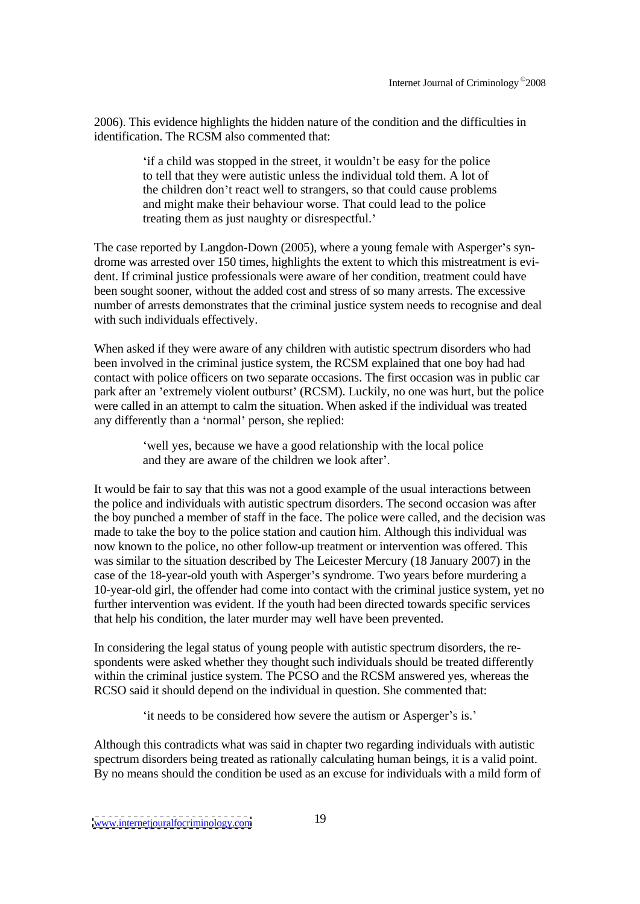2006). This evidence highlights the hidden nature of the condition and the difficulties in identification. The RCSM also commented that:

if a child was stopped in the street, it wouldn't be easy for the police to tell that they were autistic unless the individual told them. A lot of the children don't react well to strangers, so that could cause problems and might make their behaviour worse. That could lead to the police treating them as just naughty or disrespectful.

The case reported by Langdon-Down (2005), where a young female with Asperger's syndrome was arrested over 150 times, highlights the extent to which this mistreatment is evi dent. If criminal justice professionals were aware of her condition, treatment could have been sought sooner, without the added cost and stress of so many arrests. The excessive number of arrests demonstrates that the criminal justice system needs to recognise and deal with such individuals effectively.

When asked if they were aware of any children with autistic spectrum disorders who had been involved in the criminal justice system, the RCSM explained that one boy had had contact with police officers on two separate occasions. The first occasion was in public car park after an 'extremely violent outburst' (RCSM). Luckily, no one was hurt, but the police were called in an attempt to calm the situation. When asked if the individual was treated any differently than a 'normal' person, she replied:

> well yes, because we have a good relationship with the local police and they are aware of the children we look after'.

It would be fair to say that this was not a good example of the usual interactions between the police and individuals with autistic spectrum disorders. The second occasion was after the boy punched a member of staff in the face. The police were called, and the decision was made to take the boy to the police station and caution him. Although this individual was now known to the police, no other follow-up treatment or intervention was offered. This was similar to the situation described by The Leicester Mercury (18 January 2007) in the case of the 18-year-old youth with Asperger's syndrome. Two years before murdering a 10-year-old girl, the offender had come into contact with the criminal justice system, yet no further intervention was evident. If the youth had been directed towards specific services that help his condition, the later murder may well have been prevented.

In considering the legal status of young people with autistic spectrum disorders, the re spondents were asked whether they thought such individuals should be treated differently within the criminal justice system. The PCSO and the RCSM answered yes, whereas the RCSO said it should depend on the individual in question. She commented that:

'it needs to be considered how severe the autism or Asperger's is.'

Although this contradicts what was said in chapter two regarding individuals with autistic spectrum disorders being treated as rationally calculating human beings, it is a valid point. By no means should the condition be used as an excuse for individuals with a mild form of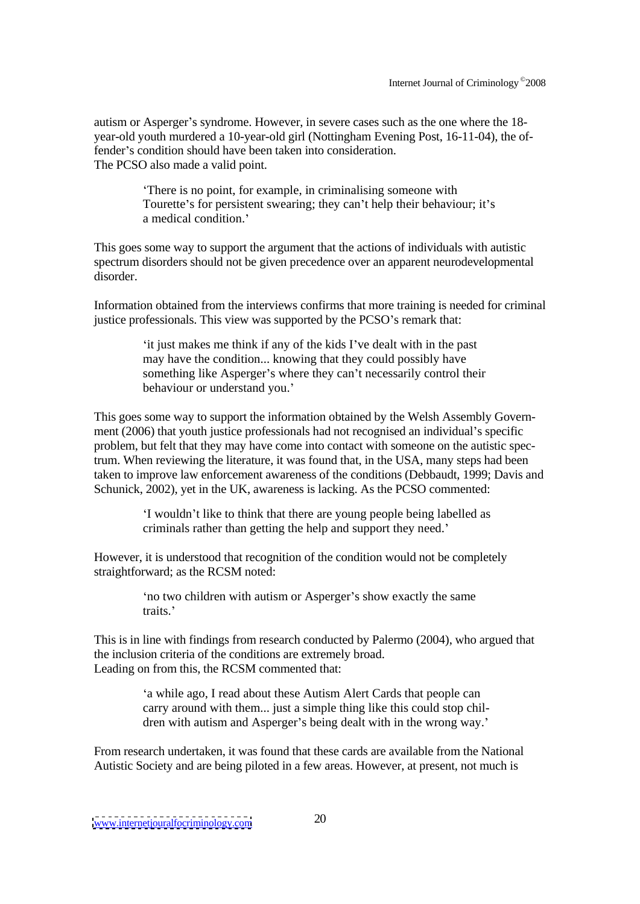autism or Asperger's syndrome. However, in severe cases such as the one where the 18year-old youth murdered a 10-year-old girl (Nottingham Evening Post, 16-11-04), the offender's condition should have been taken into consideration. The PCSO also made a valid point.

There is no point, for example, in criminalising someone with Tourette's for persistent swearing; they can't help their behaviour; it's a medical condition.<sup>7</sup>

This goes some way to support the argument that the actions of individuals with autistic spectrum disorders should not be given precedence over an apparent neurodevelopmental disorder.

Information obtained from the interviews confirms that more training is needed for criminal justice professionals. This view was supported by the PCSO's remark that:

> it just makes me think if any of the kids I ve dealt with in the past may have the condition... knowing that they could possibly have something like Asperger's where they can't necessarily control their behaviour or understand you.

This goes some way to support the information obtained by the Welsh Assembly Govern ment (2006) that youth justice professionals had not recognised an individual's specific problem, but felt that they may have come into contact with someone on the autistic spectrum. When reviewing the literature, it was found that, in the USA, many steps had been taken to improve law enforcement awareness of the conditions (Debbaudt, 1999; Davis and Schunick, 2002), yet in the UK, awareness is lacking. As the PCSO commented:

> I wouldn't like to think that there are young people being labelled as criminals rather than getting the help and support they need.

However, it is understood that recognition of the condition would not be completely straightforward; as the RCSM noted:

no two children with autism or Asperger's show exactly the same traits.

This is in line with findings from research conducted by Palermo (2004), who argued that the inclusion criteria of the conditions are extremely broad. Leading on from this, the RCSM commented that:

> a while ago, I read about these Autism Alert Cards that people can carry around with them... just a simple thing like this could stop chil dren with autism and Asperger's being dealt with in the wrong way.'

From research undertaken, it was found that these cards are available from the National Autistic Society and are being piloted in a few areas. However, at present, not much is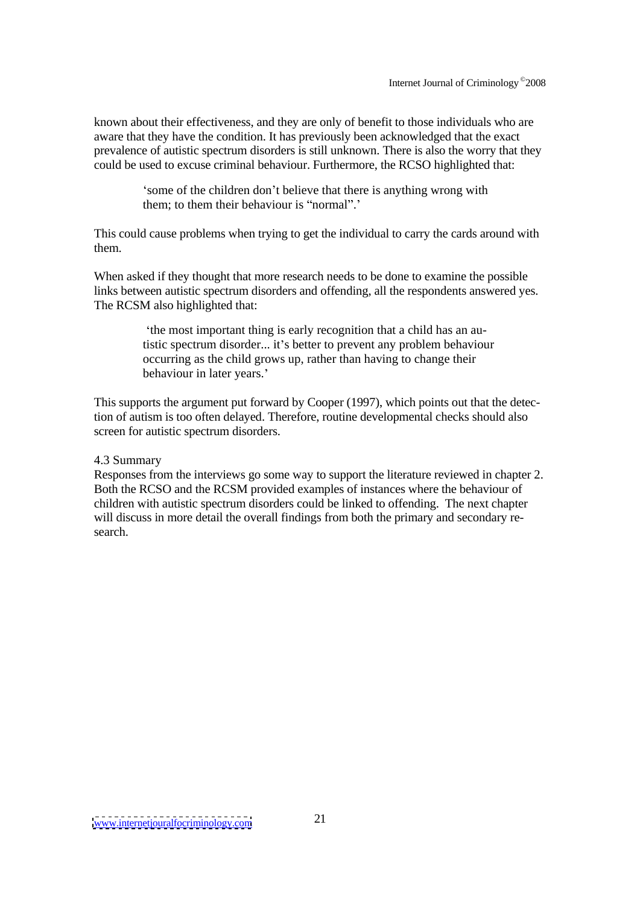known about their effectiveness, and they are only of benefit to those individuals who are aware that they have the condition. It has previously been acknowledged that the exact prevalence of autistic spectrum disorders is still unknown. There is also the worry that they could be used to excuse criminal behaviour. Furthermore, the RCSO highlighted that:

> some of the children don't believe that there is anything wrong with them; to them their behaviour is "normal".'

This could cause problems when trying to get the individual to carry the cards around with them.

When asked if they thought that more research needs to be done to examine the possible links between autistic spectrum disorders and offending, all the respondents answered yes. The RCSM also highlighted that:

the most important thing is early recognition that a child has an autistic spectrum disorder... it's better to prevent any problem behaviour occurring as the child grows up, rather than having to change their behaviour in later years.'

This supports the argument put forward by Cooper (1997), which points out that the detection of autism is too often delayed. Therefore, routine developmental checks should also screen for autistic spectrum disorders.

### 4.3 Summary

Responses from the interviews go some way to support the literature reviewed in chapter 2. Both the RCSO and the RCSM provided examples of instances where the behaviour of children with autistic spectrum disorders could be linked to offending. The next chapter will discuss in more detail the overall findings from both the primary and secondary research.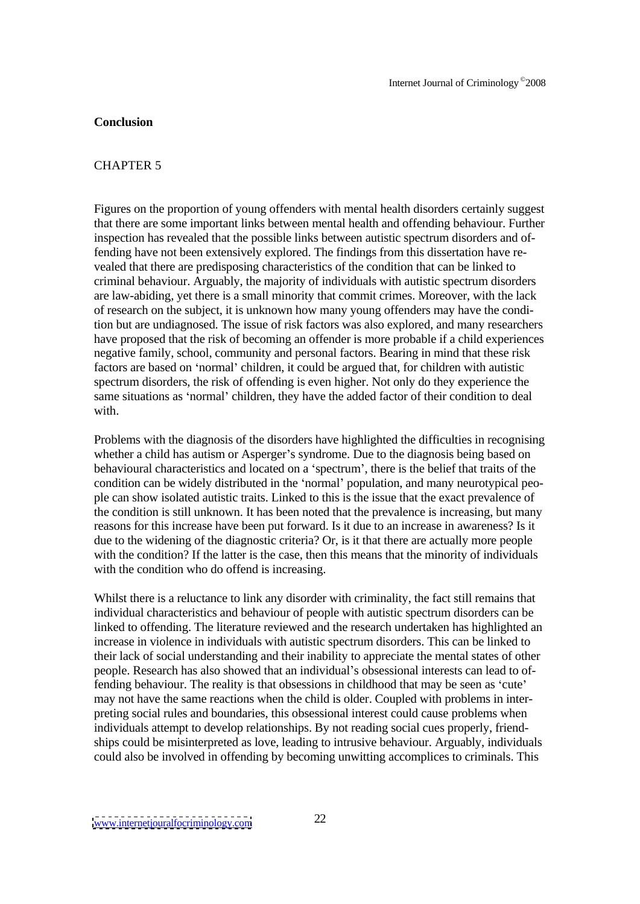### **Conclusion**

### CHAPTER 5

Figures on the proportion of young offenders with mental health disorders certainly suggest that there are some important links between mental health and offending behaviour. Further inspection has revealed that the possible links between autistic spectrum disorders and offending have not been extensively explored. The findings from this dissertation have re vealed that there are predisposing characteristics of the condition that can be linked to criminal behaviour. Arguably, the majority of individuals with autistic spectrum disorders are law-abiding, yet there is a small minority that commit crimes. Moreover, with the lack of research on the subject, it is unknown how many young offenders may have the condition but are undiagnosed. The issue of risk factors was also explored, and many researchers have proposed that the risk of becoming an offender is more probable if a child experiences negative family, school, community and personal factors. Bearing in mind that these risk factors are based on 'normal' children, it could be argued that, for children with autistic spectrum disorders, the risk of offending is even higher. Not only do they experience the same situations as 'normal' children, they have the added factor of their condition to deal with.

Problems with the diagnosis of the disorders have highlighted the difficulties in recognising whether a child has autism or Asperger's syndrome. Due to the diagnosis being based on behavioural characteristics and located on a 'spectrum', there is the belief that traits of the condition can be widely distributed in the 'normal' population, and many neurotypical people can show isolated autistic traits. Linked to this is the issue that the exact prevalence of the condition is still unknown. It has been noted that the prevalence is increasing, but many reasons for this increase have been put forward. Is it due to an increase in awareness? Is it due to the widening of the diagnostic criteria? Or, is it that there are actually more people with the condition? If the latter is the case, then this means that the minority of individuals with the condition who do offend is increasing.

Whilst there is a reluctance to link any disorder with criminality, the fact still remains that individual characteristics and behaviour of people with autistic spectrum disorders can be linked to offending. The literature reviewed and the research undertaken has highlighted an increase in violence in individuals with autistic spectrum disorders. This can be linked to their lack of social understanding and their inability to appreciate the mental states of other people. Research has also showed that an individual's obsessional interests can lead to offending behaviour. The reality is that obsessions in childhood that may be seen as 'cute' may not have the same reactions when the child is older. Coupled with problems in inter preting social rules and boundaries, this obsessional interest could cause problems when individuals attempt to develop relationships. By not reading social cues properly, friend ships could be misinterpreted as love, leading to intrusive behaviour. Arguably, individuals could also be involved in offending by becoming unwitting accomplices to criminals. This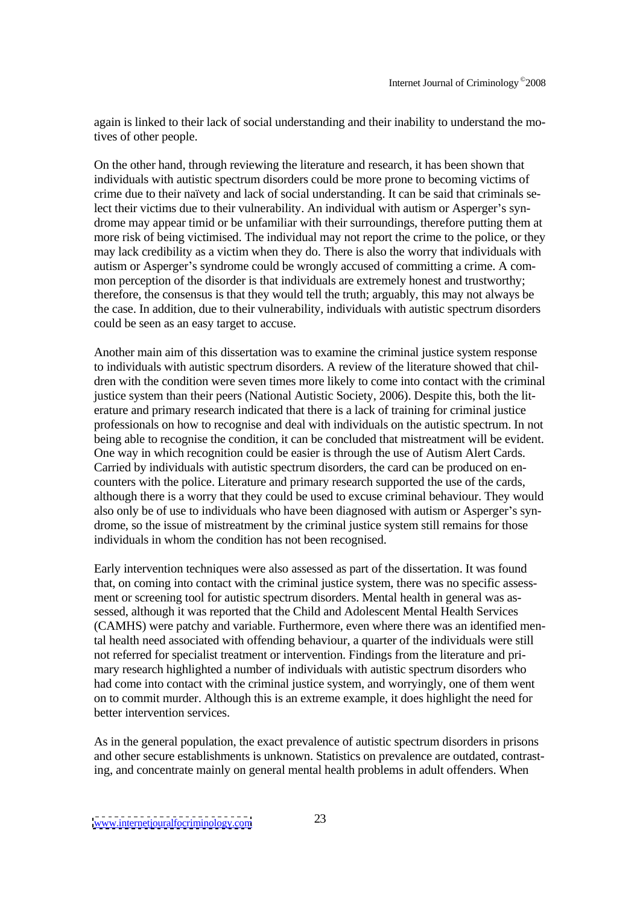again is linked to their lack of social understanding and their inability to understand the motives of other people.

On the other hand, through reviewing the literature and research, it has been shown that individuals with autistic spectrum disorders could be more prone to becoming victims of crime due to their naïvety and lack of social understanding. It can be said that criminals select their victims due to their vulnerability. An individual with autism or Asperger's syndrome may appear timid or be unfamiliar with their surroundings, therefore putting them at more risk of being victimised. The individual may not report the crime to the police, or they may lack credibility as a victim when they do. There is also the worry that individuals with autism or Asperger's syndrome could be wrongly accused of committing a crime. A common perception of the disorder is that individuals are extremely honest and trustworthy; therefore, the consensus is that they would tell the truth; arguably, this may not always be the case. In addition, due to their vulnerability, individuals with autistic spectrum disorders could be seen as an easy target to accuse.

Another main aim of this dissertation was to examine the criminal justice system response to individuals with autistic spectrum disorders. A review of the literature showed that chil dren with the condition were seven times more likely to come into contact with the criminal justice system than their peers (National Autistic Society, 2006). Despite this, both the lit erature and primary research indicated that there is a lack of training for criminal justice professionals on how to recognise and deal with individuals on the autistic spectrum. In not being able to recognise the condition, it can be concluded that mistreatment will be evident. One way in which recognition could be easier is through the use of Autism Alert Cards. Carried by individuals with autistic spectrum disorders, the card can be produced on en counters with the police. Literature and primary research supported the use of the cards, although there is a worry that they could be used to excuse criminal behaviour. They would also only be of use to individuals who have been diagnosed with autism or Asperger's syndrome, so the issue of mistreatment by the criminal justice system still remains for those individuals in whom the condition has not been recognised.

Early intervention techniques were also assessed as part of the dissertation. It was found that, on coming into contact with the criminal justice system, there was no specific assess ment or screening tool for autistic spectrum disorders. Mental health in general was as sessed, although it was reported that the Child and Adolescent Mental Health Services (CAMHS) were patchy and variable. Furthermore, even where there was an identified mental health need associated with offending behaviour, a quarter of the individuals were still not referred for specialist treatment or intervention. Findings from the literature and pri mary research highlighted a number of individuals with autistic spectrum disorders who had come into contact with the criminal justice system, and worryingly, one of them went on to commit murder. Although this is an extreme example, it does highlight the need for better intervention services.

As in the general population, the exact prevalence of autistic spectrum disorders in prisons and other secure establishments is unknown. Statistics on prevalence are outdated, contrasting, and concentrate mainly on general mental health problems in adult offenders. When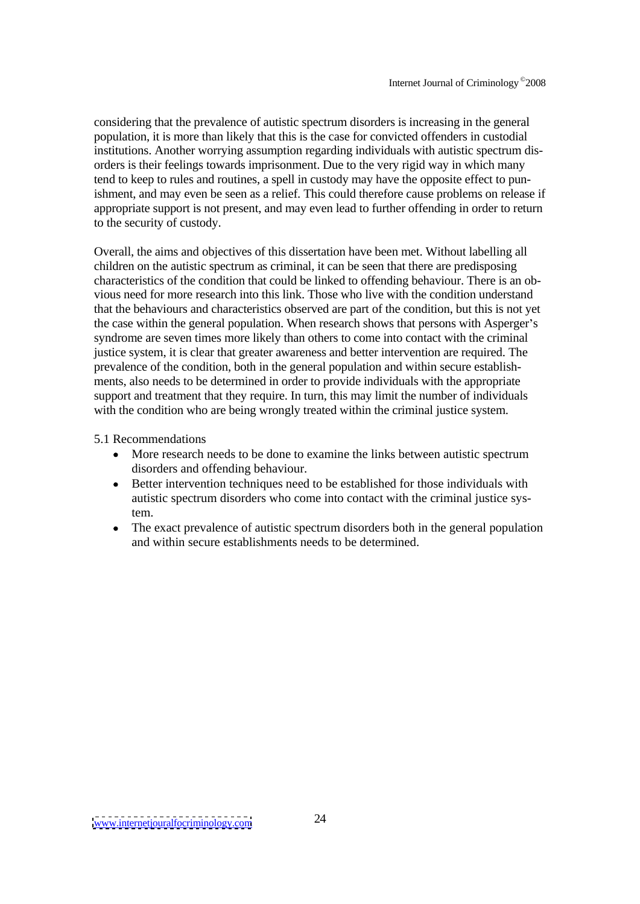considering that the prevalence of autistic spectrum disorders is increasing in the general population, it is more than likely that this is the case for convicted offenders in custodial institutions. Another worrying assumption regarding individuals with autistic spectrum dis orders is their feelings towards imprisonment. Due to the very rigid way in which many tend to keep to rules and routines, a spell in custody may have the opposite effect to punishment, and may even be seen as a relief. This could therefore cause problems on release if appropriate support is not present, and may even lead to further offending in order to return to the security of custody.

Overall, the aims and objectives of this dissertation have been met. Without labelling all children on the autistic spectrum as criminal, it can be seen that there are predisposing characteristics of the condition that could be linked to offending behaviour. There is an ob vious need for more research into this link. Those who live with the condition understand that the behaviours and characteristics observed are part of the condition, but this is not yet the case within the general population. When research shows that persons with Asperger's syndrome are seven times more likely than others to come into contact with the criminal justice system, it is clear that greater awareness and better intervention are required. The prevalence of the condition, both in the general population and within secure establish ments, also needs to be determined in order to provide individuals with the appropriate support and treatment that they require. In turn, this may limit the number of individuals with the condition who are being wrongly treated within the criminal justice system.

## 5.1 Recommendations

- More research needs to be done to examine the links between autistic spectrum disorders and offending behaviour.
- Better intervention techniques need to be established for those individuals with autistic spectrum disorders who come into contact with the criminal justice system.
- The exact prevalence of autistic spectrum disorders both in the general population  $\bullet$ and within secure establishments needs to be determined.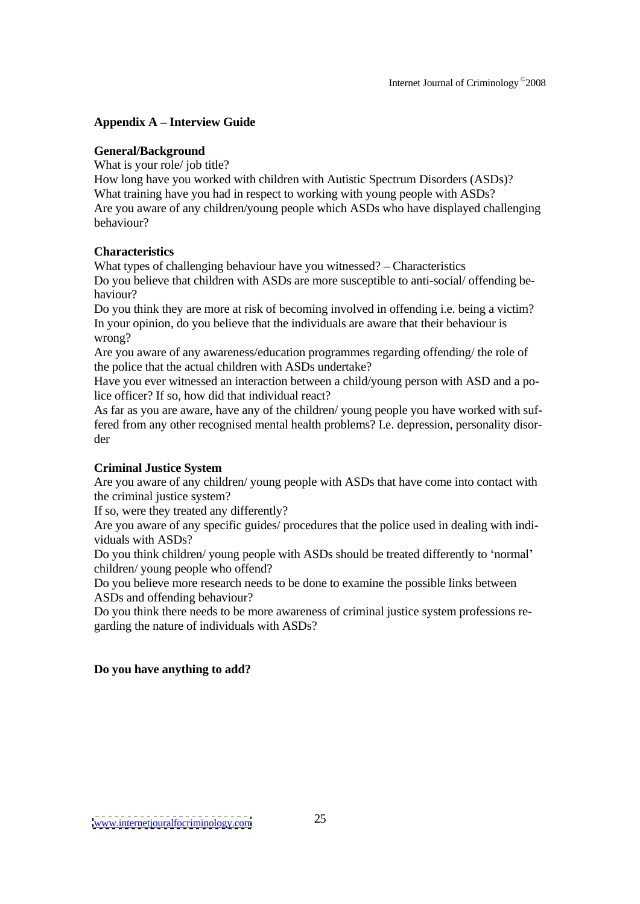# **Appendix A Interview Guide**

# **General/Background**

What is your role/ job title?

How long have you worked with children with Autistic Spectrum Disorders (ASDs)? What training have you had in respect to working with young people with ASDs? Are you aware of any children/young people which ASDs who have displayed challenging behaviour?

# **Characteristics**

What types of challenging behaviour have you witnessed?  $-$  Characteristics Do you believe that children with ASDs are more susceptible to anti-social/ offending be haviour?

Do you think they are more at risk of becoming involved in offending i.e. being a victim? In your opinion, do you believe that the individuals are aware that their behaviour is wrong?

Are you aware of any awareness/education programmes regarding offending/ the role of the police that the actual children with ASDs undertake?

Have you ever witnessed an interaction between a child/young person with ASD and a police officer? If so, how did that individual react?

As far as you are aware, have any of the children/ young people you have worked with suffered from any other recognised mental health problems? I.e. depression, personality disor der

# **Criminal Justice System**

Are you aware of any children/ young people with ASDs that have come into contact with the criminal justice system?

If so, were they treated any differently?

Are you aware of any specific guides/ procedures that the police used in dealing with indi viduals with ASDs?

Do you think children/ young people with ASDs should be treated differently to 'normal' children/ young people who offend?

Do you believe more research needs to be done to examine the possible links between ASDs and offending behaviour?

Do you think there needs to be more awareness of criminal justice system professions regarding the nature of individuals with ASDs?

# **Do you have anything to add?**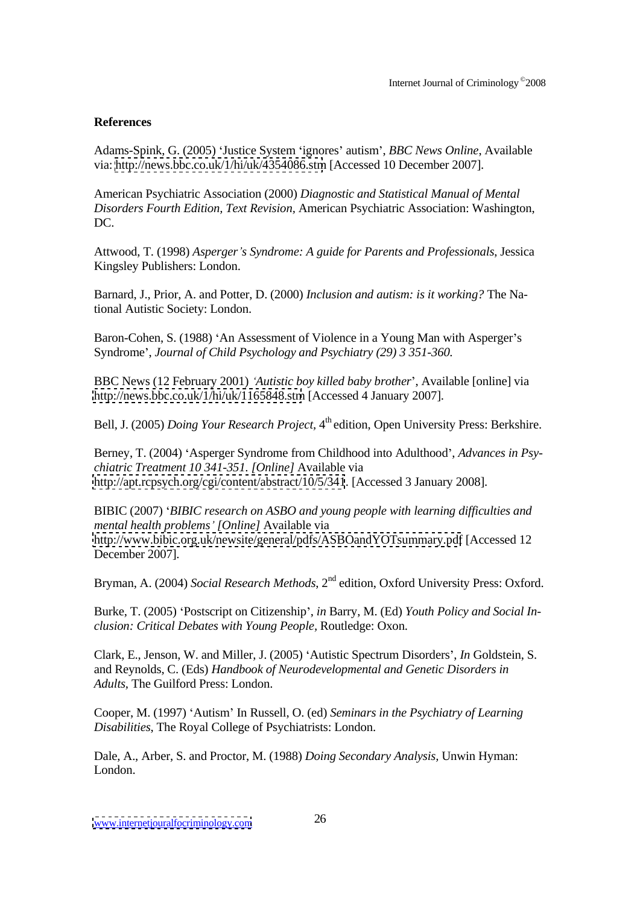## **References**

Adams-Spink, G. (2005) Justice System ignores autism , *BBC News Online*, Available via: <http://news.bbc.co.uk/1/hi/uk/4354086.stm> [Accessed 10 December 2007].

American Psychiatric Association (2000) *Diagnostic and Statistical Manual of Mental Disorders Fourth Edition, Text Revision,* American Psychiatric Association: Washington, DC.

Attwood, T. (1998) *Asperger s Syndrome: A guide for Parents and Professionals*, Jessica Kingsley Publishers: London.

Barnard, J., Prior, A. and Potter, D. (2000) *Inclusion and autism: is it working?* The National Autistic Society: London.

Baron-Cohen, S. (1988) 'An Assessment of Violence in a Young Man with Asperger's Syndrome , *Journal of Child Psychology and Psychiatry (29) 3 351-360.*

BBC News (12 February 2001) *Autistic boy killed baby brother* , Available [online] via <http://news.bbc.co.uk/1/hi/uk/1165848.stm> [Accessed 4 January 2007].

Bell, J. (2005) *Doing Your Research Project,* 4 th edition, Open University Press: Berkshire.

Berney, T. (2004) 'Asperger Syndrome from Childhood into Adulthood', *Advances* in *Psychiatric Treatment 10 341-351. [Online]* Available via <http://apt.rcpsych.org/cgi/content/abstract/10/5/341>. [Accessed 3 January 2008].

BIBIC (2007) *BIBIC research on ASBO and young people with learning dif iculties and mental health problems [Online]* Available via <http://www.bibic.org.uk/newsite/general/pdfs/ASBOandYOTsummary.pdf> [Accessed 12 December 2007].

Bryman, A. (2004) *Social Research Methods*, 2<sup>nd</sup> edition, Oxford University Press: Oxford.

Burke, T. (2005) Postscript on Citizenship , *in* Barry, M. (Ed) *Youth Policy and Social In clusion: Critical Debates with Young People,* Routledge: Oxon.

Clark, E., Jenson, W. and Miller, J. (2005) 'Autistic Spectrum Disorders', *In* Goldstein, S. and Reynolds, C. (Eds) *Handbook of Neurodevelopmental and Genetic Disorders in Adults,* The Guilford Press: London.

Cooper, M. (1997) Autism In Russell, O. (ed) *Seminars in the Psychiatry of Learning Disabilities*, The Royal College of Psychiatrists: London.

Dale, A., Arber, S. and Proctor, M. (1988) *Doing Secondary Analysis,* Unwin Hyman: London.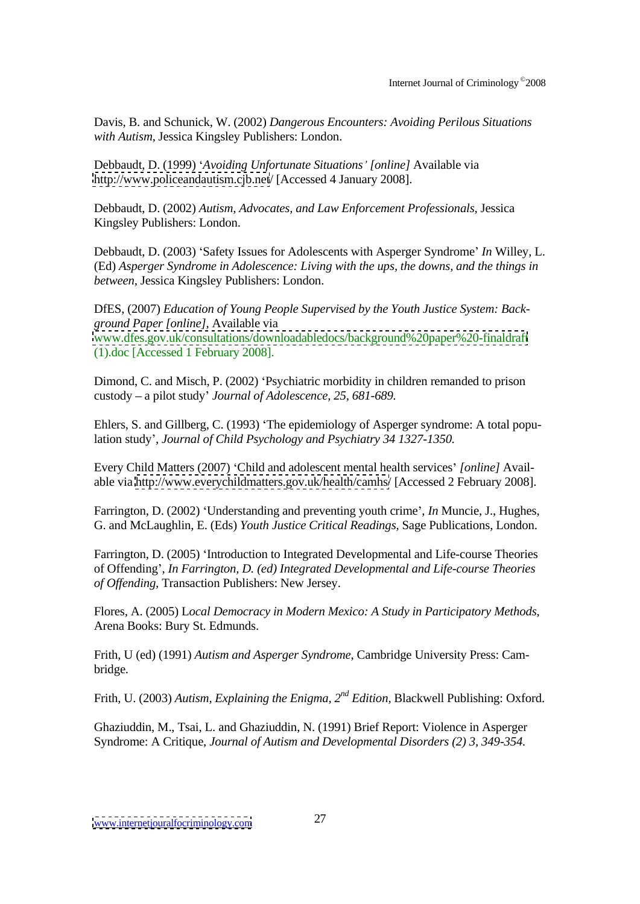Davis, B. and Schunick, W. (2002) *Dangerous Encounters: Avoiding Perilous Situations with Autism*, Jessica Kingsley Publishers: London.

Debbaudt, D. (1999) *Avoiding Unfortunate Situations [online]* Available via [http://www.policeandautism.cjb.net](http://www.policeandautism.cjb.net/)/ [Accessed 4 January 2008].

Debbaudt, D. (2002) *Autism, Advocates, and Law Enforcement Professionals,* Jessica Kingsley Publishers: London.

Debbaudt, D. (2003) 'Safety Issues for Adolescents with Asperger Syndrome' In Willey, L. (Ed) *Asperger Syndrome in Adolescence: Living with the ups, the downs, and the things in between,* Jessica Kingsley Publishers: London.

DfES, (2007) *Education of Young People Supervised by the Youth Justice System: Back ground Paper [online],* Available via [www.dfes.gov.uk/consultations/downloadabledocs/background%20paper%20-finaldraft](http://www.dfes.gov.uk/consultations/downloadabledocs/background%20paper%20-finaldraft) (1).doc [Accessed 1 February 2008].

Dimond, C. and Misch, P. (2002) 'Psychiatric morbidity in children remanded to prison custody a pilot study *Journal of Adolescence, 25, 681-689.*

Ehlers, S. and Gillberg, C. (1993) 'The epidemiology of Asperger syndrome: A total population study , *Journal of Child Psychology and Psychiatry 34 1327-1350.*

Every Child Matters (2007) Child and adolescent mental health services *[online]* Avail able via <http://www.everychildmatters.gov.uk/health/camhs/> [Accessed 2 February 2008].

Farrington, D. (2002) 'Understanding and preventing youth crime', *In* Muncie, J., Hughes, G. and McLaughlin, E. (Eds) *Youth Justice Critical Readings,* Sage Publications, London.

Farrington, D. (2005) 'Introduction to Integrated Developmental and Life-course Theories of Offending , *In Farrington, D. (ed) Integrated Developmental and Life-course Theories of Of ending,* Transaction Publishers: New Jersey.

Flores, A. (2005) L*ocal Democracy in Modern Mexico: A Study in Participatory Methods*, Arena Books: Bury St. Edmunds.

Frith, U (ed) (1991) *Autism and Asperger Syndrome*, Cambridge University Press: Cam bridge.

Frith, U. (2003) *Autism, Explaining the Enigma, 2 nd Edition,* Blackwell Publishing: Oxford.

Ghaziuddin, M., Tsai, L. and Ghaziuddin, N. (1991) Brief Report: Violence in Asperger Syndrome: A Critique, *Journal of Autism and Developmental Disorders (2) 3, 349-354.*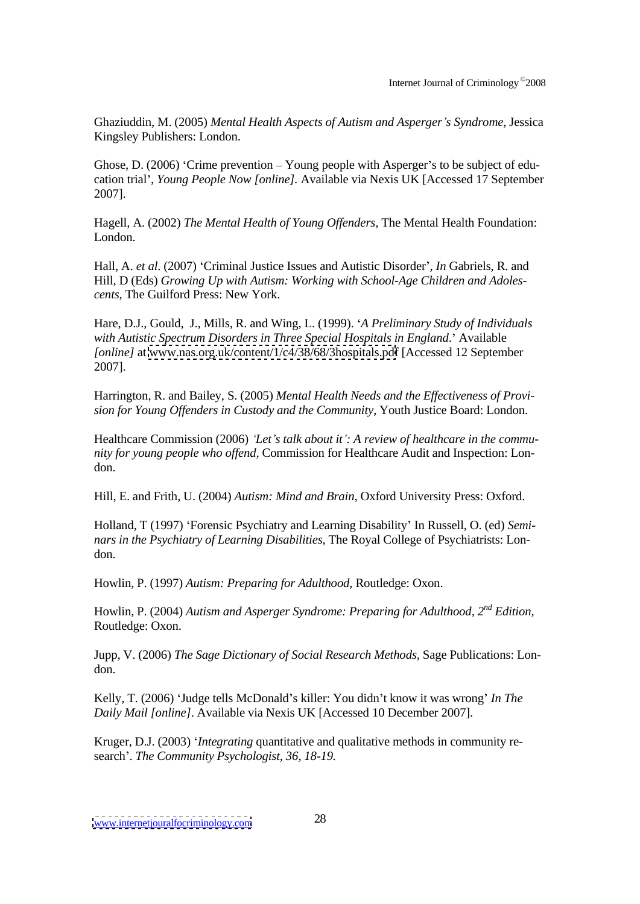Ghaziuddin, M. (2005) *Mental Health Aspects of Autism and Asperger s Syndrome*, Jessica Kingsley Publishers: London.

Ghose, D.  $(2006)$  'Crime prevention – Young people with Asperger's to be subject of education trial , *Young People Now [online].* Available via Nexis UK [Accessed 17 September 2007].

Hagell, A. (2002) *The Mental Health of Young Of enders,* The Mental Health Foundation: London.

Hall, A. *et al.* (2007) 'Criminal Justice Issues and Autistic Disorder', *In* Gabriels, R. and Hill, D (Eds) *Growing Up with Autism: Working with School-Age Children and Adoles cents,* The Guilford Press: New York.

Hare, D.J., Gould, J., Mills, R. and Wing, L. (1999). *A Preliminary Study of Individuals with Autistic Spectrum Disorders in Three Special Hospitals in England*. Available *[online]* at [www.nas.org.uk/content/1/c4/38/68/3hospitals.pd](http://www.nas.org.uk/content/1/c4/38/68/3hospitals.pdf)f [Accessed 12 September 2007].

Harrington, R. and Bailey, S. (2005) *Mental Health Needs and the Ef ectiveness of Provi sion for Young Of enders in Custody and the Community*, Youth Justice Board: London.

Healthcare Commission (2006) *Let s talk about it : A review of healthcare in the commu nity for young people who of end,* Commission for Healthcare Audit and Inspection: Lon don.

Hill, E. and Frith, U. (2004) *Autism: Mind and Brain,* Oxford University Press: Oxford.

Holland, T (1997) Forensic Psychiatry and Learning Disability In Russell, O. (ed) *Semi nars in the Psychiatry of Learning Disabilities*, The Royal College of Psychiatrists: Lon don.

Howlin, P. (1997) *Autism: Preparing for Adulthood*, Routledge: Oxon.

Howlin, P. (2004) *Autism and Asperger Syndrome: Preparing for Adulthood, 2 nd Edition*, Routledge: Oxon.

Jupp, V. (2006) *The Sage Dictionary of Social Research Methods,* Sage Publications: Lon don.

Kelly, T. (2006) 'Judge tells McDonald's killer: You didn't know it was wrong' In The *Daily Mail [online]*. Available via Nexis UK [Accessed 10 December 2007].

Kruger, D.J. (2003) *Integrating* quantitative and qualitative methods in community re search . *The Community Psychologist, 36, 18-19.*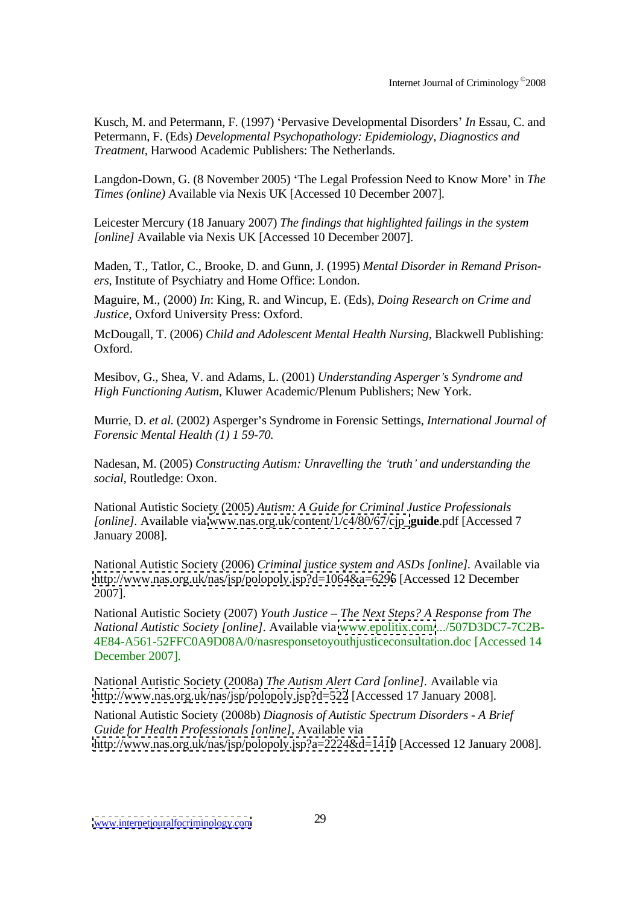Kusch, M. and Petermann, F. (1997) 'Pervasive Developmental Disorders' In Essau, C. and Petermann, F. (Eds) *Developmental Psychopathology: Epidemiology, Diagnostics and Treatment,* Harwood Academic Publishers: The Netherlands.

Langdon-Down, G. (8 November 2005) 'The Legal Profession Need to Know More' in *The Times (online)* Available via Nexis UK [Accessed 10 December 2007].

Leicester Mercury (18 January 2007) *The findings that highlighted failings in the system [online]* Available via Nexis UK [Accessed 10 December 2007].

Maden, T., Tatlor, C., Brooke, D. and Gunn, J. (1995) *Mental Disorder in Remand Prison ers,* Institute of Psychiatry and Home Office: London.

Maguire, M., (2000) *In*: King, R. and Wincup, E. (Eds), *Doing Research on Crime and Justice*, Oxford University Press: Oxford.

McDougall, T. (2006) *Child and Adolescent Mental Health Nursing*, Blackwell Publishing: Oxford.

Mesibov, G., Shea, V. and Adams, L. (2001) *Understanding Asperger s Syndrome and High Functioning Autism,* Kluwer Academic/Plenum Publishers; New York.

Murrie, D. *et al.* (2002) Asperger s Syndrome in Forensic Settings, *International Journal of Forensic Mental Health (1) 1 59-70.*

Nadesan, M. (2005) *Constructing Autism: Unravelling the truth and understanding the social,* Routledge: Oxon.

National Autistic Society (2005) *Autism: A Guide for Criminal Justice Professionals [online].* Available via [www.nas.org.uk/content/1/c4/80/67/cjp\\_](http://www.nas.org.uk/content/1/c4/80/67/cjp_)**guide**.pdf [Accessed 7 January 2008].

National Autistic Society (2006) *Criminal justice system and ASDs [online].* Available via <http://www.nas.org.uk/nas/jsp/polopoly.jsp?d=1064&a=6296> [Accessed 12 December 2007].

National Autistic Society (2007) *Youth Justice The Next Steps? A Response from The National Autistic Society [online].* Available via [www.epolitix.com/](http://www.epolitix.com/).../507D3DC7-7C2B- 4E84-A561-52FFC0A9D08A/0/nasresponsetoyouthjusticeconsultation.doc [Accessed 14 December 2007].

National Autistic Society (2008a) *The Autism Alert Card [online].* Available via <http://www.nas.org.uk/nas/jsp/polopoly.jsp?d=522> [Accessed 17 January 2008].

National Autistic Society (2008b) *Diagnosis of Autistic Spectrum Disorders - A Brief Guide for Health Professionals [online],* Available via <http://www.nas.org.uk/nas/jsp/polopoly.jsp?a=2224&d=1419> [Accessed 12 January 2008].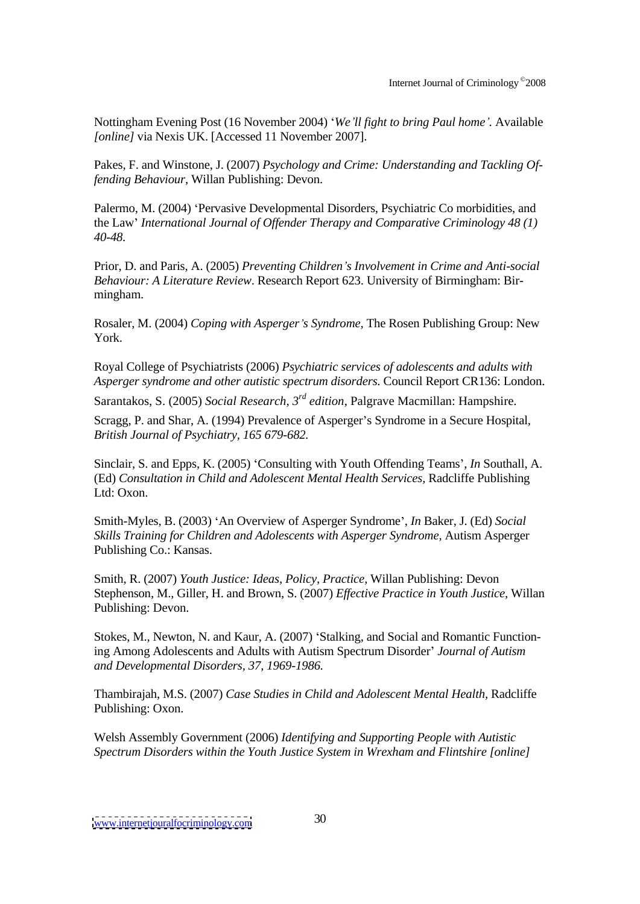Nottingham Evening Post (16 November 2004) *We ll fight to bring Paul home .* Available *[online]* via Nexis UK. [Accessed 11 November 2007].

Pakes, F. and Winstone, J. (2007) *Psychology and Crime: Understanding and Tackling Offending Behaviour*, Willan Publishing: Devon.

Palermo, M. (2004) 'Pervasive Developmental Disorders, Psychiatric Co morbidities, and the Law *International Journal of Of ender Therapy and Comparative Criminology 48 (1) 40-48.*

Prior, D. and Paris, A. (2005) *Preventing Children s Involvement in Crime and Anti-social Behaviour: A Literature Review*. Research Report 623. University of Birmingham: Bir mingham.

Rosaler, M. (2004) *Coping with Asperger s Syndrome,* The Rosen Publishing Group: New York.

Royal College of Psychiatrists (2006) *Psychiatric services of adolescents and adults with Asperger syndrome and other autistic spectrum disorders*. Council Report CR136: London.<br>Sarantakos, S. (2005) *Social Research, 3<sup>rd</sup> edition,* Palgrave Macmillan: Hampshire.

Sarantakos, S. (2005) *Social Research*, 3<sup>rd</sup> edition, Palgrave Macmillan: Hampshire.

*Scragg, P. and Shar, A. (1994) Prevalence of Asperger's Syndrome in a Secure Hospital, British Journal of Psychiatry, 165 679-682.*

Sinclair, S. and Epps, K. (2005) 'Consulting with Youth Offending Teams', *In* Southall, A. (Ed) *Consultation in Child and Adolescent Mental Health Services,* Radcliffe Publishing Ltd: Oxon.

Smith-Myles, B. (2003) 'An Overview of Asperger Syndrome', *In* Baker, J. (Ed) *Social Skills Training for Children and Adolescents with Asperger Syndrome,* Autism Asperger Publishing Co.: Kansas.

Smith, R. (2007) *Youth Justice: Ideas, Policy, Practice,* Willan Publishing: Devon Stephenson, M., Giller, H. and Brown, S. (2007) *Ef ective Practice in Youth Justice,* Willan Publishing: Devon.

Stokes, M., Newton, N. and Kaur, A. (2007) 'Stalking, and Social and Romantic Functioning Among Adolescents and Adults with Autism Spectrum Disorder *Journal of Autism and Developmental Disorders, 37, 1969-1986.*

Thambirajah, M.S. (2007) *Case Studies in Child and Adolescent Mental Health,* Radcliffe Publishing: Oxon.

Welsh Assembly Government (2006) *Identifying and Supporting People with Autistic Spectrum Disorders within the Youth Justice System in Wrexham and Flintshire [online]*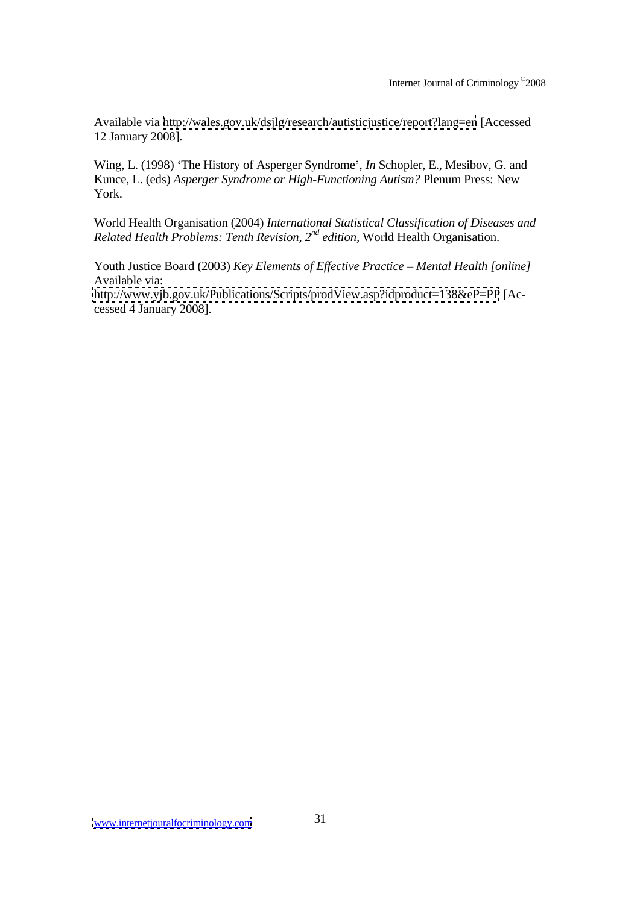Available via <http://wales.gov.uk/dsjlg/research/autisticjustice/report?lang=en> [Accessed 12 January 2008].

Wing, L. (1998) 'The History of Asperger Syndrome', *In* Schopler, E., Mesibov, G. and Kunce, L. (eds) *Asperger Syndrome or High-Functioning Autism?* Plenum Press: New York.

World Health Organisation (2004) *International Statistical Classification of Diseases and Related Health Problems: Tenth Revision, 2 nd edition,* World Health Organisation.

Youth Justice Board (2003) *Key Elements of Effective Practice* – Mental Health [online] Available via: <http://www.yjb.gov.uk/Publications/Scripts/prodView.asp?idproduct=138&eP=PP> [Accessed 4 January 2008].